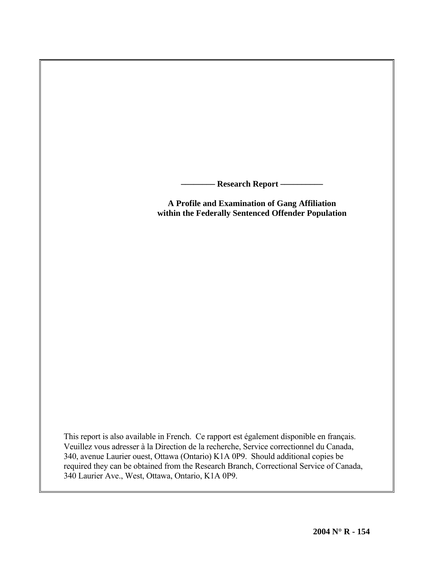**Research Report -**

**A Profile and Examination of Gang Affiliation within the Federally Sentenced Offender Population** 

This report is also available in French. Ce rapport est également disponible en français. Veuillez vous adresser à la Direction de la recherche, Service correctionnel du Canada, 340, avenue Laurier ouest, Ottawa (Ontario) K1A 0P9. Should additional copies be required they can be obtained from the Research Branch, Correctional Service of Canada, 340 Laurier Ave., West, Ottawa, Ontario, K1A 0P9.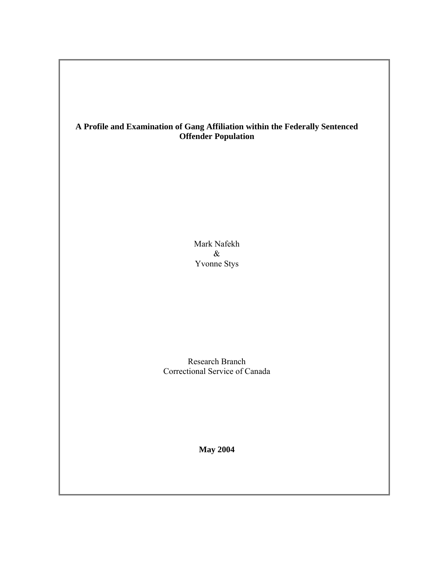# **A Profile and Examination of Gang Affiliation within the Federally Sentenced Offender Population**

Mark Nafekh & Yvonne Stys

Research Branch Correctional Service of Canada

**May 2004**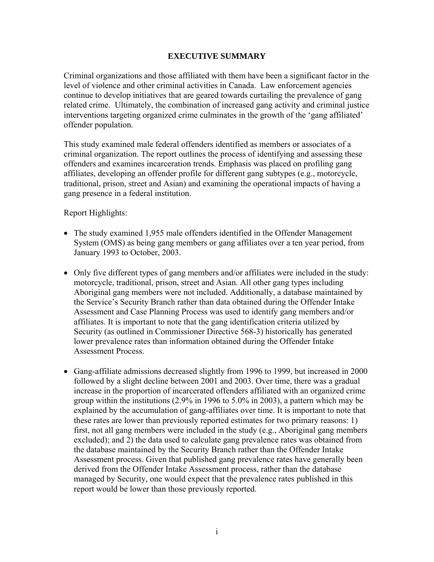# **EXECUTIVE SUMMARY**

Criminal organizations and those affiliated with them have been a significant factor in the level of violence and other criminal activities in Canada. Law enforcement agencies continue to develop initiatives that are geared towards curtailing the prevalence of gang related crime. Ultimately, the combination of increased gang activity and criminal justice interventions targeting organized crime culminates in the growth of the 'gang affiliated' offender population.

This study examined male federal offenders identified as members or associates of a criminal organization. The report outlines the process of identifying and assessing these offenders and examines incarceration trends. Emphasis was placed on profiling gang affiliates, developing an offender profile for different gang subtypes (e.g., motorcycle, traditional, prison, street and Asian) and examining the operational impacts of having a gang presence in a federal institution.

Report Highlights:

- The study examined 1,955 male offenders identified in the Offender Management System (OMS) as being gang members or gang affiliates over a ten year period, from January 1993 to October, 2003.
- Only five different types of gang members and/or affiliates were included in the study: motorcycle, traditional, prison, street and Asian. All other gang types including Aboriginal gang members were not included. Additionally, a database maintained by the Service's Security Branch rather than data obtained during the Offender Intake Assessment and Case Planning Process was used to identify gang members and/or affiliates. It is important to note that the gang identification criteria utilized by Security (as outlined in Commissioner Directive 568-3) historically has generated lower prevalence rates than information obtained during the Offender Intake Assessment Process.
- Gang-affiliate admissions decreased slightly from 1996 to 1999, but increased in 2000 followed by a slight decline between 2001 and 2003. Over time, there was a gradual increase in the proportion of incarcerated offenders affiliated with an organized crime group within the institutions (2.9% in 1996 to 5.0% in 2003), a pattern which may be explained by the accumulation of gang-affiliates over time. It is important to note that these rates are lower than previously reported estimates for two primary reasons: 1) first, not all gang members were included in the study (e.g., Aboriginal gang members excluded); and 2) the data used to calculate gang prevalence rates was obtained from the database maintained by the Security Branch rather than the Offender Intake Assessment process. Given that published gang prevalence rates have generally been derived from the Offender Intake Assessment process, rather than the database managed by Security, one would expect that the prevalence rates published in this report would be lower than those previously reported.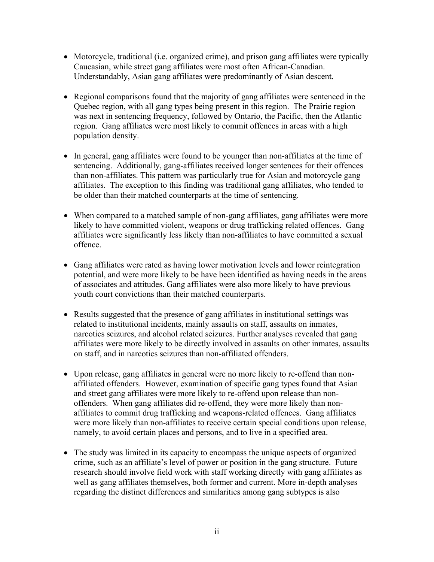- Motorcycle, traditional (i.e. organized crime), and prison gang affiliates were typically Caucasian, while street gang affiliates were most often African-Canadian. Understandably, Asian gang affiliates were predominantly of Asian descent.
- Regional comparisons found that the majority of gang affiliates were sentenced in the Quebec region, with all gang types being present in this region. The Prairie region was next in sentencing frequency, followed by Ontario, the Pacific, then the Atlantic region. Gang affiliates were most likely to commit offences in areas with a high population density.
- In general, gang affiliates were found to be younger than non-affiliates at the time of sentencing. Additionally, gang-affiliates received longer sentences for their offences than non-affiliates. This pattern was particularly true for Asian and motorcycle gang affiliates. The exception to this finding was traditional gang affiliates, who tended to be older than their matched counterparts at the time of sentencing.
- When compared to a matched sample of non-gang affiliates, gang affiliates were more likely to have committed violent, weapons or drug trafficking related offences. Gang affiliates were significantly less likely than non-affiliates to have committed a sexual offence.
- Gang affiliates were rated as having lower motivation levels and lower reintegration potential, and were more likely to be have been identified as having needs in the areas of associates and attitudes. Gang affiliates were also more likely to have previous youth court convictions than their matched counterparts.
- Results suggested that the presence of gang affiliates in institutional settings was related to institutional incidents, mainly assaults on staff, assaults on inmates, narcotics seizures, and alcohol related seizures. Further analyses revealed that gang affiliates were more likely to be directly involved in assaults on other inmates, assaults on staff, and in narcotics seizures than non-affiliated offenders.
- Upon release, gang affiliates in general were no more likely to re-offend than nonaffiliated offenders. However, examination of specific gang types found that Asian and street gang affiliates were more likely to re-offend upon release than nonoffenders. When gang affiliates did re-offend, they were more likely than nonaffiliates to commit drug trafficking and weapons-related offences. Gang affiliates were more likely than non-affiliates to receive certain special conditions upon release, namely, to avoid certain places and persons, and to live in a specified area.
- The study was limited in its capacity to encompass the unique aspects of organized crime, such as an affiliate's level of power or position in the gang structure. Future research should involve field work with staff working directly with gang affiliates as well as gang affiliates themselves, both former and current. More in-depth analyses regarding the distinct differences and similarities among gang subtypes is also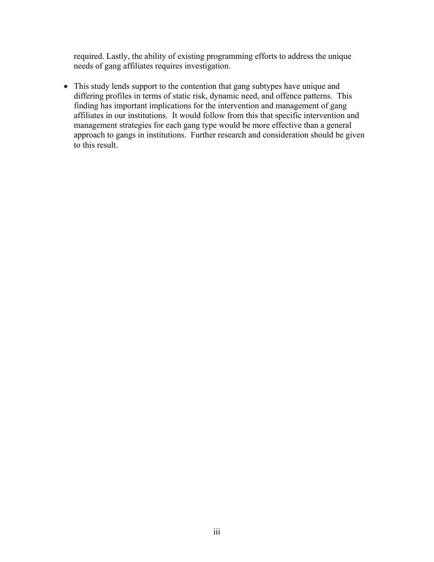required. Lastly, the ability of existing programming efforts to address the unique needs of gang affiliates requires investigation.

• This study lends support to the contention that gang subtypes have unique and differing profiles in terms of static risk, dynamic need, and offence patterns. This finding has important implications for the intervention and management of gang affiliates in our institutions. It would follow from this that specific intervention and management strategies for each gang type would be more effective than a general approach to gangs in institutions. Further research and consideration should be given to this result.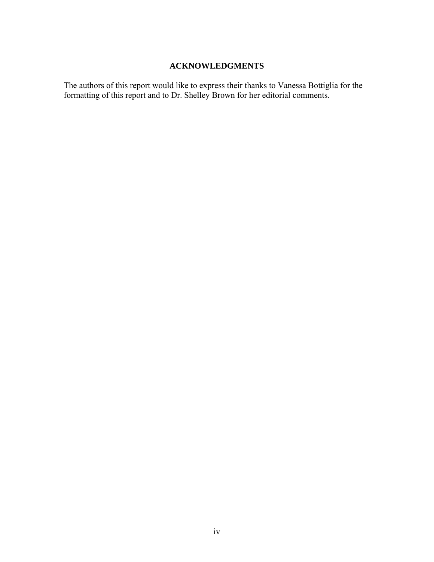# **ACKNOWLEDGMENTS**

The authors of this report would like to express their thanks to Vanessa Bottiglia for the formatting of this report and to Dr. Shelley Brown for her editorial comments.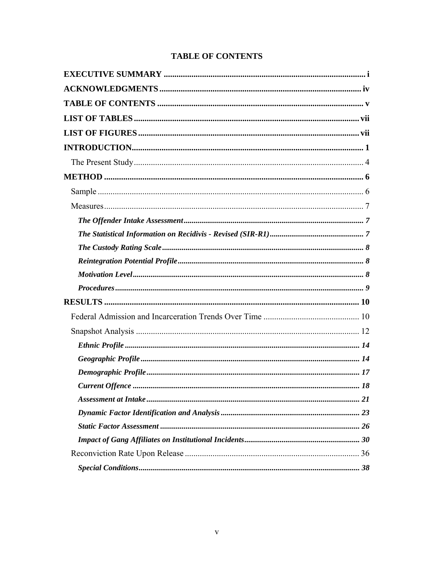|  | <b>TABLE OF CONTENTS</b> |
|--|--------------------------|
|--|--------------------------|

| 18 |
|----|
|    |
|    |
|    |
|    |
|    |
|    |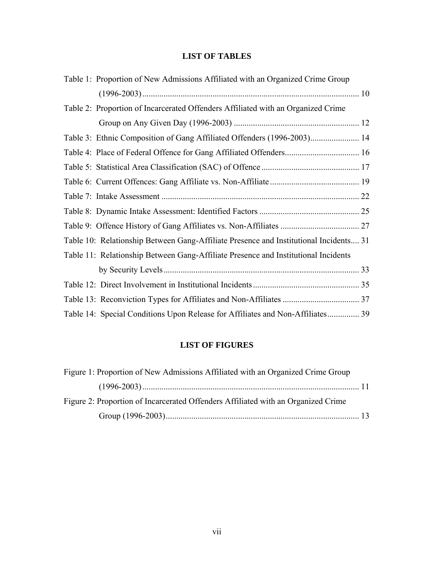# **LIST OF TABLES**

| Table 1: Proportion of New Admissions Affiliated with an Organized Crime Group        |  |
|---------------------------------------------------------------------------------------|--|
|                                                                                       |  |
| Table 2: Proportion of Incarcerated Offenders Affiliated with an Organized Crime      |  |
|                                                                                       |  |
| Table 3: Ethnic Composition of Gang Affiliated Offenders (1996-2003) 14               |  |
| Table 4: Place of Federal Offence for Gang Affiliated Offenders 16                    |  |
|                                                                                       |  |
|                                                                                       |  |
|                                                                                       |  |
|                                                                                       |  |
|                                                                                       |  |
| Table 10: Relationship Between Gang-Affiliate Presence and Institutional Incidents 31 |  |
| Table 11: Relationship Between Gang-Affiliate Presence and Institutional Incidents    |  |
|                                                                                       |  |
|                                                                                       |  |
|                                                                                       |  |
| Table 14: Special Conditions Upon Release for Affiliates and Non-Affiliates 39        |  |

# **LIST OF FIGURES**

| Figure 1: Proportion of New Admissions Affiliated with an Organized Crime Group   |  |
|-----------------------------------------------------------------------------------|--|
|                                                                                   |  |
| Figure 2: Proportion of Incarcerated Offenders Affiliated with an Organized Crime |  |
|                                                                                   |  |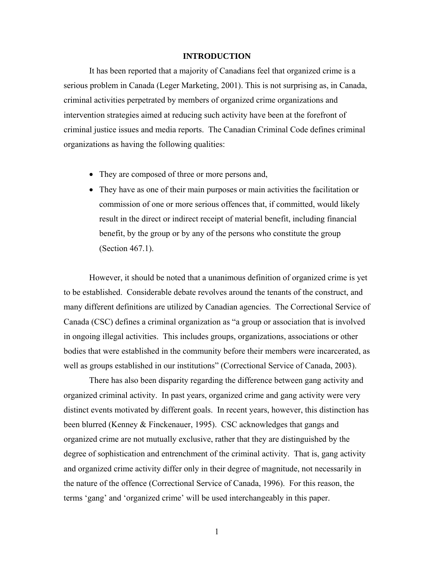#### **INTRODUCTION**

It has been reported that a majority of Canadians feel that organized crime is a serious problem in Canada (Leger Marketing, 2001). This is not surprising as, in Canada, criminal activities perpetrated by members of organized crime organizations and intervention strategies aimed at reducing such activity have been at the forefront of criminal justice issues and media reports. The Canadian Criminal Code defines criminal organizations as having the following qualities:

- They are composed of three or more persons and,
- They have as one of their main purposes or main activities the facilitation or commission of one or more serious offences that, if committed, would likely result in the direct or indirect receipt of material benefit, including financial benefit, by the group or by any of the persons who constitute the group (Section 467.1).

However, it should be noted that a unanimous definition of organized crime is yet to be established. Considerable debate revolves around the tenants of the construct, and many different definitions are utilized by Canadian agencies. The Correctional Service of Canada (CSC) defines a criminal organization as "a group or association that is involved in ongoing illegal activities. This includes groups, organizations, associations or other bodies that were established in the community before their members were incarcerated, as well as groups established in our institutions" (Correctional Service of Canada, 2003).

There has also been disparity regarding the difference between gang activity and organized criminal activity. In past years, organized crime and gang activity were very distinct events motivated by different goals. In recent years, however, this distinction has been blurred (Kenney & Finckenauer, 1995). CSC acknowledges that gangs and organized crime are not mutually exclusive, rather that they are distinguished by the degree of sophistication and entrenchment of the criminal activity. That is, gang activity and organized crime activity differ only in their degree of magnitude, not necessarily in the nature of the offence (Correctional Service of Canada, 1996). For this reason, the terms 'gang' and 'organized crime' will be used interchangeably in this paper.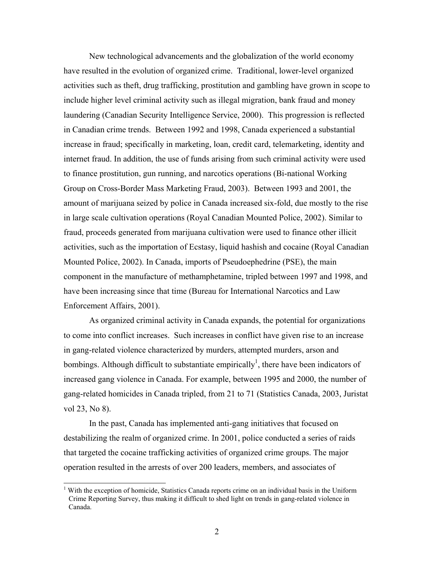New technological advancements and the globalization of the world economy have resulted in the evolution of organized crime. Traditional, lower-level organized activities such as theft, drug trafficking, prostitution and gambling have grown in scope to include higher level criminal activity such as illegal migration, bank fraud and money laundering (Canadian Security Intelligence Service, 2000). This progression is reflected in Canadian crime trends. Between 1992 and 1998, Canada experienced a substantial increase in fraud; specifically in marketing, loan, credit card, telemarketing, identity and internet fraud. In addition, the use of funds arising from such criminal activity were used to finance prostitution, gun running, and narcotics operations (Bi-national Working Group on Cross-Border Mass Marketing Fraud, 2003). Between 1993 and 2001, the amount of marijuana seized by police in Canada increased six-fold, due mostly to the rise in large scale cultivation operations (Royal Canadian Mounted Police, 2002). Similar to fraud, proceeds generated from marijuana cultivation were used to finance other illicit activities, such as the importation of Ecstasy, liquid hashish and cocaine (Royal Canadian Mounted Police, 2002). In Canada, imports of Pseudoephedrine (PSE), the main component in the manufacture of methamphetamine, tripled between 1997 and 1998, and have been increasing since that time (Bureau for International Narcotics and Law Enforcement Affairs, 2001).

As organized criminal activity in Canada expands, the potential for organizations to come into conflict increases. Such increases in conflict have given rise to an increase in gang-related violence characterized by murders, attempted murders, arson and bombings. Although difficult to substantiate empirically<sup>[1](#page-10-0)</sup>, there have been indicators of increased gang violence in Canada. For example, between 1995 and 2000, the number of gang-related homicides in Canada tripled, from 21 to 71 (Statistics Canada, 2003, Juristat vol 23, No 8).

In the past, Canada has implemented anti-gang initiatives that focused on destabilizing the realm of organized crime. In 2001, police conducted a series of raids that targeted the cocaine trafficking activities of organized crime groups. The major operation resulted in the arrests of over 200 leaders, members, and associates of

<span id="page-10-0"></span> $<sup>1</sup>$  With the exception of homicide, Statistics Canada reports crime on an individual basis in the Uniform</sup> Crime Reporting Survey, thus making it difficult to shed light on trends in gang-related violence in Canada.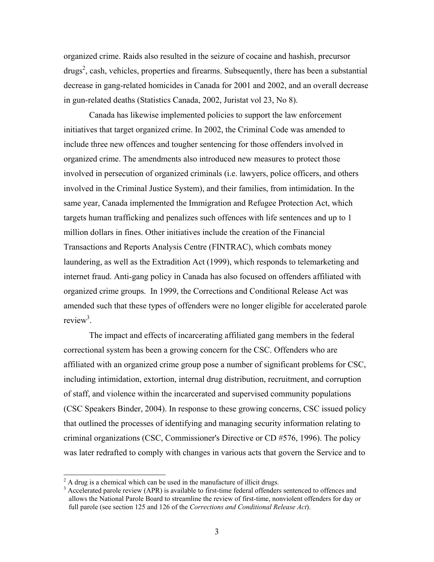organized crime. Raids also resulted in the seizure of cocaine and hashish, precursor  $dryss<sup>2</sup>$  $dryss<sup>2</sup>$  $dryss<sup>2</sup>$ , cash, vehicles, properties and firearms. Subsequently, there has been a substantial decrease in gang-related homicides in Canada for 2001 and 2002, and an overall decrease in gun-related deaths (Statistics Canada, 2002, Juristat vol 23, No 8).

Canada has likewise implemented policies to support the law enforcement initiatives that target organized crime. In 2002, the Criminal Code was amended to include three new offences and tougher sentencing for those offenders involved in organized crime. The amendments also introduced new measures to protect those involved in persecution of organized criminals (i.e. lawyers, police officers, and others involved in the Criminal Justice System), and their families, from intimidation. In the same year, Canada implemented the Immigration and Refugee Protection Act, which targets human trafficking and penalizes such offences with life sentences and up to 1 million dollars in fines. Other initiatives include the creation of the Financial Transactions and Reports Analysis Centre (FINTRAC), which combats money laundering, as well as the Extradition Act (1999), which responds to telemarketing and internet fraud. Anti-gang policy in Canada has also focused on offenders affiliated with organized crime groups. In 1999, the Corrections and Conditional Release Act was amended such that these types of offenders were no longer eligible for accelerated parole review<sup>[3](#page-11-1)</sup>.

The impact and effects of incarcerating affiliated gang members in the federal correctional system has been a growing concern for the CSC. Offenders who are affiliated with an organized crime group pose a number of significant problems for CSC, including intimidation, extortion, internal drug distribution, recruitment, and corruption of staff, and violence within the incarcerated and supervised community populations (CSC Speakers Binder, 2004). In response to these growing concerns, CSC issued policy that outlined the processes of identifying and managing security information relating to criminal organizations (CSC, Commissioner's Directive or CD #576, 1996). The policy was later redrafted to comply with changes in various acts that govern the Service and to

<span id="page-11-0"></span> $\frac{1}{2}$  $A^2$  A drug is a chemical which can be used in the manufacture of illicit drugs.

<span id="page-11-1"></span><sup>&</sup>lt;sup>3</sup> Accelerated parole review (APR) is available to first-time federal offenders sentenced to offences and allows the National Parole Board to streamline the review of first-time, nonviolent offenders for day or full parole (see section 125 and 126 of the *Corrections and Conditional Release Act*).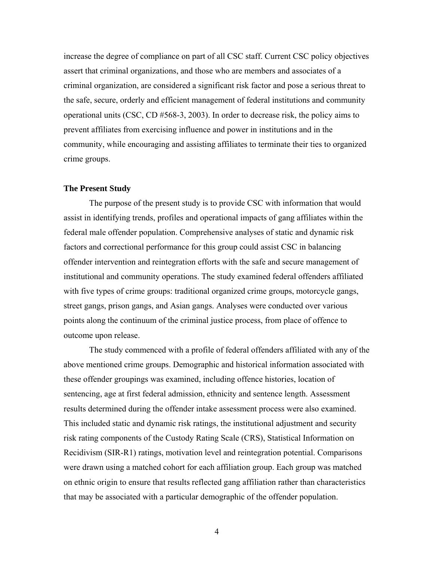increase the degree of compliance on part of all CSC staff. Current CSC policy objectives assert that criminal organizations, and those who are members and associates of a criminal organization, are considered a significant risk factor and pose a serious threat to the safe, secure, orderly and efficient management of federal institutions and community operational units (CSC, CD #568-3, 2003). In order to decrease risk, the policy aims to prevent affiliates from exercising influence and power in institutions and in the community, while encouraging and assisting affiliates to terminate their ties to organized crime groups.

#### **The Present Study**

The purpose of the present study is to provide CSC with information that would assist in identifying trends, profiles and operational impacts of gang affiliates within the federal male offender population. Comprehensive analyses of static and dynamic risk factors and correctional performance for this group could assist CSC in balancing offender intervention and reintegration efforts with the safe and secure management of institutional and community operations. The study examined federal offenders affiliated with five types of crime groups: traditional organized crime groups, motorcycle gangs, street gangs, prison gangs, and Asian gangs. Analyses were conducted over various points along the continuum of the criminal justice process, from place of offence to outcome upon release.

The study commenced with a profile of federal offenders affiliated with any of the above mentioned crime groups. Demographic and historical information associated with these offender groupings was examined, including offence histories, location of sentencing, age at first federal admission, ethnicity and sentence length. Assessment results determined during the offender intake assessment process were also examined. This included static and dynamic risk ratings, the institutional adjustment and security risk rating components of the Custody Rating Scale (CRS), Statistical Information on Recidivism (SIR-R1) ratings, motivation level and reintegration potential. Comparisons were drawn using a matched cohort for each affiliation group. Each group was matched on ethnic origin to ensure that results reflected gang affiliation rather than characteristics that may be associated with a particular demographic of the offender population.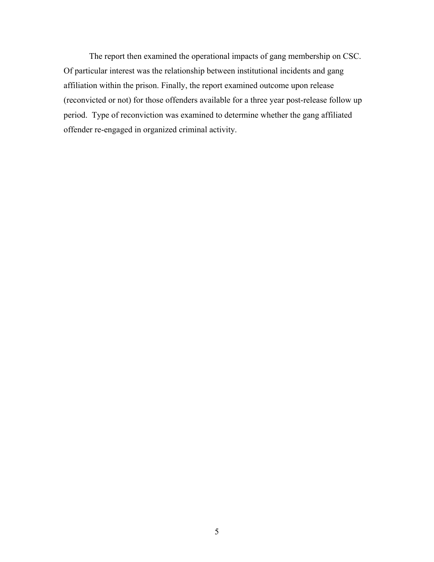The report then examined the operational impacts of gang membership on CSC. Of particular interest was the relationship between institutional incidents and gang affiliation within the prison. Finally, the report examined outcome upon release (reconvicted or not) for those offenders available for a three year post-release follow up period. Type of reconviction was examined to determine whether the gang affiliated offender re-engaged in organized criminal activity.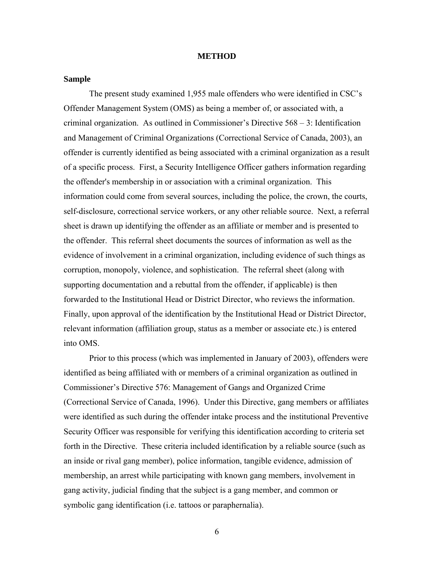#### **METHOD**

#### **Sample**

The present study examined 1,955 male offenders who were identified in CSC's Offender Management System (OMS) as being a member of, or associated with, a criminal organization. As outlined in Commissioner's Directive 568 – 3: Identification and Management of Criminal Organizations (Correctional Service of Canada, 2003), an offender is currently identified as being associated with a criminal organization as a result of a specific process. First, a Security Intelligence Officer gathers information regarding the offender's membership in or association with a criminal organization. This information could come from several sources, including the police, the crown, the courts, self-disclosure, correctional service workers, or any other reliable source. Next, a referral sheet is drawn up identifying the offender as an affiliate or member and is presented to the offender. This referral sheet documents the sources of information as well as the evidence of involvement in a criminal organization, including evidence of such things as corruption, monopoly, violence, and sophistication. The referral sheet (along with supporting documentation and a rebuttal from the offender, if applicable) is then forwarded to the Institutional Head or District Director, who reviews the information. Finally, upon approval of the identification by the Institutional Head or District Director, relevant information (affiliation group, status as a member or associate etc.) is entered into OMS.

Prior to this process (which was implemented in January of 2003), offenders were identified as being affiliated with or members of a criminal organization as outlined in Commissioner's Directive 576: Management of Gangs and Organized Crime (Correctional Service of Canada, 1996). Under this Directive, gang members or affiliates were identified as such during the offender intake process and the institutional Preventive Security Officer was responsible for verifying this identification according to criteria set forth in the Directive. These criteria included identification by a reliable source (such as an inside or rival gang member), police information, tangible evidence, admission of membership, an arrest while participating with known gang members, involvement in gang activity, judicial finding that the subject is a gang member, and common or symbolic gang identification (i.e. tattoos or paraphernalia).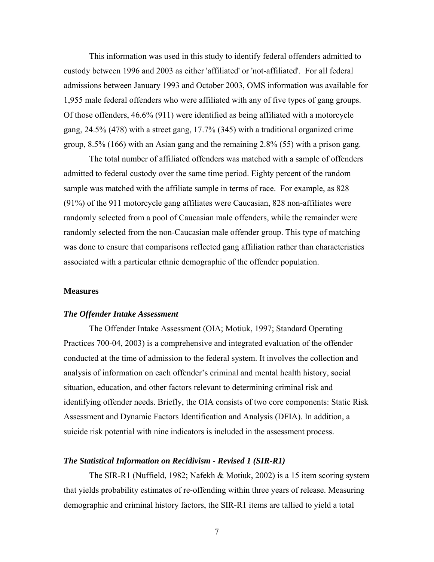This information was used in this study to identify federal offenders admitted to custody between 1996 and 2003 as either 'affiliated' or 'not-affiliated'. For all federal admissions between January 1993 and October 2003, OMS information was available for 1,955 male federal offenders who were affiliated with any of five types of gang groups. Of those offenders, 46.6% (911) were identified as being affiliated with a motorcycle gang, 24.5% (478) with a street gang, 17.7% (345) with a traditional organized crime group, 8.5% (166) with an Asian gang and the remaining 2.8% (55) with a prison gang.

The total number of affiliated offenders was matched with a sample of offenders admitted to federal custody over the same time period. Eighty percent of the random sample was matched with the affiliate sample in terms of race. For example, as 828 (91%) of the 911 motorcycle gang affiliates were Caucasian, 828 non-affiliates were randomly selected from a pool of Caucasian male offenders, while the remainder were randomly selected from the non-Caucasian male offender group. This type of matching was done to ensure that comparisons reflected gang affiliation rather than characteristics associated with a particular ethnic demographic of the offender population.

#### **Measures**

## *The Offender Intake Assessment*

The Offender Intake Assessment (OIA; Motiuk, 1997; Standard Operating Practices 700-04, 2003) is a comprehensive and integrated evaluation of the offender conducted at the time of admission to the federal system. It involves the collection and analysis of information on each offender's criminal and mental health history, social situation, education, and other factors relevant to determining criminal risk and identifying offender needs. Briefly, the OIA consists of two core components: Static Risk Assessment and Dynamic Factors Identification and Analysis (DFIA). In addition, a suicide risk potential with nine indicators is included in the assessment process.

#### *The Statistical Information on Recidivism - Revised 1 (SIR-R1)*

The SIR-R1 (Nuffield, 1982; Nafekh & Motiuk, 2002) is a 15 item scoring system that yields probability estimates of re-offending within three years of release. Measuring demographic and criminal history factors, the SIR-R1 items are tallied to yield a total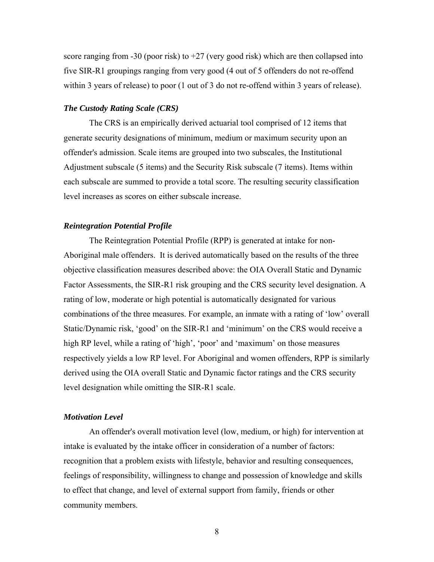score ranging from -30 (poor risk) to  $+27$  (very good risk) which are then collapsed into five SIR-R1 groupings ranging from very good (4 out of 5 offenders do not re-offend within 3 years of release) to poor (1 out of 3 do not re-offend within 3 years of release).

#### *The Custody Rating Scale (CRS)*

The CRS is an empirically derived actuarial tool comprised of 12 items that generate security designations of minimum, medium or maximum security upon an offender's admission. Scale items are grouped into two subscales, the Institutional Adjustment subscale (5 items) and the Security Risk subscale (7 items). Items within each subscale are summed to provide a total score. The resulting security classification level increases as scores on either subscale increase.

#### *Reintegration Potential Profile*

The Reintegration Potential Profile (RPP) is generated at intake for non-Aboriginal male offenders. It is derived automatically based on the results of the three objective classification measures described above: the OIA Overall Static and Dynamic Factor Assessments, the SIR-R1 risk grouping and the CRS security level designation. A rating of low, moderate or high potential is automatically designated for various combinations of the three measures. For example, an inmate with a rating of 'low' overall Static/Dynamic risk, 'good' on the SIR-R1 and 'minimum' on the CRS would receive a high RP level, while a rating of 'high', 'poor' and 'maximum' on those measures respectively yields a low RP level. For Aboriginal and women offenders, RPP is similarly derived using the OIA overall Static and Dynamic factor ratings and the CRS security level designation while omitting the SIR-R1 scale.

#### *Motivation Level*

An offender's overall motivation level (low, medium, or high) for intervention at intake is evaluated by the intake officer in consideration of a number of factors: recognition that a problem exists with lifestyle, behavior and resulting consequences, feelings of responsibility, willingness to change and possession of knowledge and skills to effect that change, and level of external support from family, friends or other community members.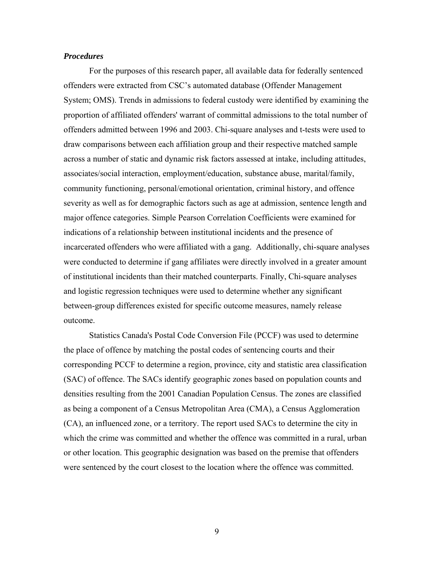#### *Procedures*

For the purposes of this research paper, all available data for federally sentenced offenders were extracted from CSC's automated database (Offender Management System; OMS). Trends in admissions to federal custody were identified by examining the proportion of affiliated offenders' warrant of committal admissions to the total number of offenders admitted between 1996 and 2003. Chi-square analyses and t-tests were used to draw comparisons between each affiliation group and their respective matched sample across a number of static and dynamic risk factors assessed at intake, including attitudes, associates/social interaction, employment/education, substance abuse, marital/family, community functioning, personal/emotional orientation, criminal history, and offence severity as well as for demographic factors such as age at admission, sentence length and major offence categories. Simple Pearson Correlation Coefficients were examined for indications of a relationship between institutional incidents and the presence of incarcerated offenders who were affiliated with a gang. Additionally, chi-square analyses were conducted to determine if gang affiliates were directly involved in a greater amount of institutional incidents than their matched counterparts. Finally, Chi-square analyses and logistic regression techniques were used to determine whether any significant between-group differences existed for specific outcome measures, namely release outcome.

Statistics Canada's Postal Code Conversion File (PCCF) was used to determine the place of offence by matching the postal codes of sentencing courts and their corresponding PCCF to determine a region, province, city and statistic area classification (SAC) of offence. The SACs identify geographic zones based on population counts and densities resulting from the 2001 Canadian Population Census. The zones are classified as being a component of a Census Metropolitan Area (CMA), a Census Agglomeration (CA), an influenced zone, or a territory. The report used SACs to determine the city in which the crime was committed and whether the offence was committed in a rural, urban or other location. This geographic designation was based on the premise that offenders were sentenced by the court closest to the location where the offence was committed.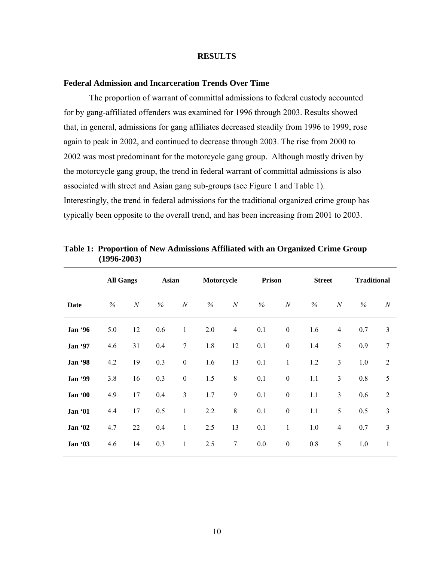#### **RESULTS**

#### **Federal Admission and Incarceration Trends Over Time**

The proportion of warrant of committal admissions to federal custody accounted for by gang-affiliated offenders was examined for 1996 through 2003. Results showed that, in general, admissions for gang affiliates decreased steadily from 1996 to 1999, rose again to peak in 2002, and continued to decrease through 2003. The rise from 2000 to 2002 was most predominant for the motorcycle gang group. Although mostly driven by the motorcycle gang group, the trend in federal warrant of committal admissions is also associated with street and Asian gang sub-groups (see Figure 1 and Table 1). Interestingly, the trend in federal admissions for the traditional organized crime group has typically been opposite to the overall trend, and has been increasing from 2001 to 2003.

|                | <b>All Gangs</b> |                  | <b>Asian</b> |                  | Motorcycle |                  | Prison |                  | <b>Street</b> |                  | <b>Traditional</b> |                  |
|----------------|------------------|------------------|--------------|------------------|------------|------------------|--------|------------------|---------------|------------------|--------------------|------------------|
| Date           | $\%$             | $\boldsymbol{N}$ | $\%$         | $\boldsymbol{N}$ | $\%$       | $\boldsymbol{N}$ | $\%$   | $\boldsymbol{N}$ | $\%$          | $\boldsymbol{N}$ | $\%$               | $\boldsymbol{N}$ |
| <b>Jan '96</b> | 5.0              | 12               | 0.6          | $\mathbf{1}$     | 2.0        | $\overline{4}$   | 0.1    | $\boldsymbol{0}$ | 1.6           | $\overline{4}$   | 0.7                | $\mathfrak{Z}$   |
| Jan '97        | 4.6              | 31               | 0.4          | $\overline{7}$   | 1.8        | 12               | 0.1    | $\boldsymbol{0}$ | 1.4           | 5                | 0.9                | $7\phantom{.0}$  |
| <b>Jan '98</b> | 4.2              | 19               | 0.3          | $\boldsymbol{0}$ | 1.6        | 13               | 0.1    | $\,1$            | 1.2           | $\overline{3}$   | 1.0                | $\overline{2}$   |
| <b>Jan</b> '99 | 3.8              | 16               | 0.3          | $\boldsymbol{0}$ | 1.5        | $8\,$            | 0.1    | $\boldsymbol{0}$ | 1.1           | $\mathfrak{Z}$   | $0.8\,$            | 5                |
| Jan '00        | 4.9              | 17               | 0.4          | $\mathfrak{Z}$   | 1.7        | $\mathbf{9}$     | 0.1    | $\boldsymbol{0}$ | 1.1           | $\mathfrak{Z}$   | 0.6                | 2                |
| Jan '01        | 4.4              | 17               | 0.5          | $\mathbf{1}$     | 2.2        | $\,$ $\,$        | 0.1    | $\boldsymbol{0}$ | 1.1           | 5                | 0.5                | $\overline{3}$   |
| Jan '02        | 4.7              | 22               | 0.4          | $\mathbf{1}$     | 2.5        | 13               | 0.1    | $\mathbf{1}$     | 1.0           | $\overline{4}$   | 0.7                | $\mathfrak{Z}$   |
| Jan '03        | 4.6              | 14               | 0.3          | $\mathbf{1}$     | 2.5        | $\boldsymbol{7}$ | 0.0    | $\boldsymbol{0}$ | 0.8           | 5                | 1.0                | 1                |

| Table 1: Proportion of New Admissions Affiliated with an Organized Crime Group |  |  |  |
|--------------------------------------------------------------------------------|--|--|--|
| $(1996 - 2003)$                                                                |  |  |  |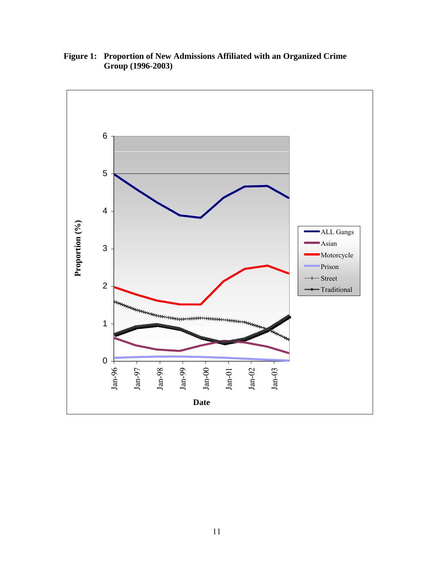

**Figure 1: Proportion of New Admissions Affiliated with an Organized Crime Group (1996-2003)**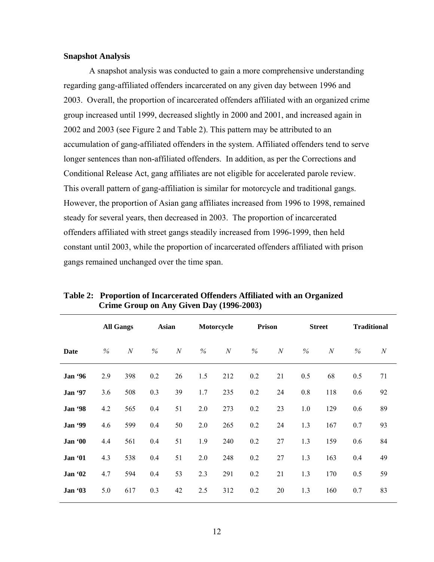#### **Snapshot Analysis**

A snapshot analysis was conducted to gain a more comprehensive understanding regarding gang-affiliated offenders incarcerated on any given day between 1996 and 2003. Overall, the proportion of incarcerated offenders affiliated with an organized crime group increased until 1999, decreased slightly in 2000 and 2001, and increased again in 2002 and 2003 (see Figure 2 and Table 2). This pattern may be attributed to an accumulation of gang-affiliated offenders in the system. Affiliated offenders tend to serve longer sentences than non-affiliated offenders. In addition, as per the Corrections and Conditional Release Act, gang affiliates are not eligible for accelerated parole review. This overall pattern of gang-affiliation is similar for motorcycle and traditional gangs. However, the proportion of Asian gang affiliates increased from 1996 to 1998, remained steady for several years, then decreased in 2003. The proportion of incarcerated offenders affiliated with street gangs steadily increased from 1996-1999, then held constant until 2003, while the proportion of incarcerated offenders affiliated with prison gangs remained unchanged over the time span.

|                |     | <b>All Gangs</b> | <b>Asian</b> |                  |      | Motorcycle   | <b>Prison</b> |              |      | <b>Street</b>    |     | <b>Traditional</b> |
|----------------|-----|------------------|--------------|------------------|------|--------------|---------------|--------------|------|------------------|-----|--------------------|
| Date           | %   | $\boldsymbol{N}$ | $\%$         | $\boldsymbol{N}$ | $\%$ | $\mathcal N$ | $\%$          | $\mathcal N$ | $\%$ | $\boldsymbol{N}$ | %   | $\boldsymbol{N}$   |
| Jan '96        | 2.9 | 398              | 0.2          | 26               | 1.5  | 212          | 0.2           | 21           | 0.5  | 68               | 0.5 | 71                 |
| Jan '97        | 3.6 | 508              | 0.3          | 39               | 1.7  | 235          | 0.2           | 24           | 0.8  | 118              | 0.6 | 92                 |
| <b>Jan '98</b> | 4.2 | 565              | 0.4          | 51               | 2.0  | 273          | 0.2           | 23           | 1.0  | 129              | 0.6 | 89                 |
| <b>Jan</b> '99 | 4.6 | 599              | 0.4          | 50               | 2.0  | 265          | 0.2           | 24           | 1.3  | 167              | 0.7 | 93                 |
| Jan '00        | 4.4 | 561              | 0.4          | 51               | 1.9  | 240          | 0.2           | 27           | 1.3  | 159              | 0.6 | 84                 |
| Jan '01        | 4.3 | 538              | 0.4          | 51               | 2.0  | 248          | 0.2           | 27           | 1.3  | 163              | 0.4 | 49                 |
| Jan '02        | 4.7 | 594              | 0.4          | 53               | 2.3  | 291          | 0.2           | 21           | 1.3  | 170              | 0.5 | 59                 |
| Jan '03        | 5.0 | 617              | 0.3          | 42               | 2.5  | 312          | 0.2           | 20           | 1.3  | 160              | 0.7 | 83                 |

**Table 2: Proportion of Incarcerated Offenders Affiliated with an Organized Crime Group on Any Given Day (1996-2003)**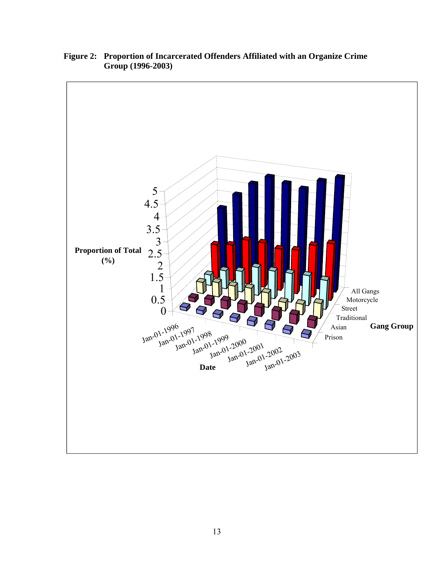

**Figure 2: Proportion of Incarcerated Offenders Affiliated with an Organize Crime Group (1996-2003)**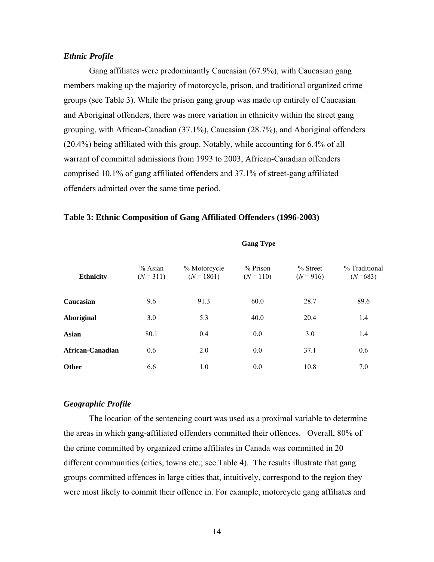#### *Ethnic Profile*

Gang affiliates were predominantly Caucasian (67.9%), with Caucasian gang members making up the majority of motorcycle, prison, and traditional organized crime groups (see Table 3). While the prison gang group was made up entirely of Caucasian and Aboriginal offenders, there was more variation in ethnicity within the street gang grouping, with African-Canadian (37.1%), Caucasian (28.7%), and Aboriginal offenders (20.4%) being affiliated with this group. Notably, while accounting for 6.4% of all warrant of committal admissions from 1993 to 2003, African-Canadian offenders comprised 10.1% of gang affiliated offenders and 37.1% of street-gang affiliated offenders admitted over the same time period.

|                  | <b>Gang Type</b>         |                              |                         |                           |                            |  |  |  |  |
|------------------|--------------------------|------------------------------|-------------------------|---------------------------|----------------------------|--|--|--|--|
| <b>Ethnicity</b> | $%$ Asian<br>$(N = 311)$ | % Motorcycle<br>$(N = 1801)$ | % Prison<br>$(N = 110)$ | $%$ Street<br>$(N = 916)$ | % Traditional<br>$(N=683)$ |  |  |  |  |
| Caucasian        | 9.6                      | 91.3                         | 60.0                    | 28.7                      | 89.6                       |  |  |  |  |
| Aboriginal       | 3.0                      | 5.3                          | 40.0                    | 20.4                      | 1.4                        |  |  |  |  |
| <b>Asian</b>     | 80.1                     | 0.4                          | 0.0                     | 3.0                       | 1.4                        |  |  |  |  |
| African-Canadian | 0.6                      | 2.0                          | 0.0                     | 37.1                      | 0.6                        |  |  |  |  |
| <b>Other</b>     | 6.6                      | 1.0                          | 0.0                     | 10.8                      | 7.0                        |  |  |  |  |

#### **Table 3: Ethnic Composition of Gang Affiliated Offenders (1996-2003)**

#### *Geographic Profile*

The location of the sentencing court was used as a proximal variable to determine the areas in which gang-affiliated offenders committed their offences. Overall, 80% of the crime committed by organized crime affiliates in Canada was committed in 20 different communities (cities, towns etc.; see Table 4). The results illustrate that gang groups committed offences in large cities that, intuitively, correspond to the region they were most likely to commit their offence in. For example, motorcycle gang affiliates and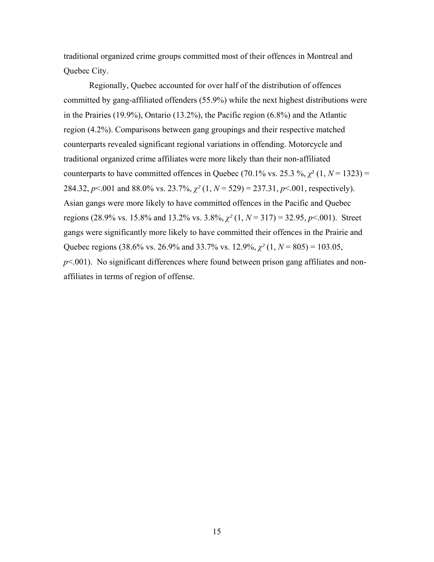traditional organized crime groups committed most of their offences in Montreal and Quebec City.

Regionally, Quebec accounted for over half of the distribution of offences committed by gang-affiliated offenders (55.9%) while the next highest distributions were in the Prairies (19.9%), Ontario (13.2%), the Pacific region (6.8%) and the Atlantic region (4.2%). Comparisons between gang groupings and their respective matched counterparts revealed significant regional variations in offending. Motorcycle and traditional organized crime affiliates were more likely than their non-affiliated counterparts to have committed offences in Quebec (70.1% vs. 25.3 %,  $\chi^2$  (1,  $N = 1323$ ) = 284.32, *p*<.001 and 88.0% vs. 23.7%, *χ²* (1, *N* = 529) = 237.31, *p*<.001, respectively). Asian gangs were more likely to have committed offences in the Pacific and Quebec regions (28.9% vs. 15.8% and 13.2% vs. 3.8%, *χ²* (1, *N* = 317) = 32.95, *p*<.001). Street gangs were significantly more likely to have committed their offences in the Prairie and Quebec regions (38.6% vs. 26.9% and 33.7% vs. 12.9%, *χ²* (1, *N* = 805) = 103.05,  $p<.001$ ). No significant differences where found between prison gang affiliates and nonaffiliates in terms of region of offense.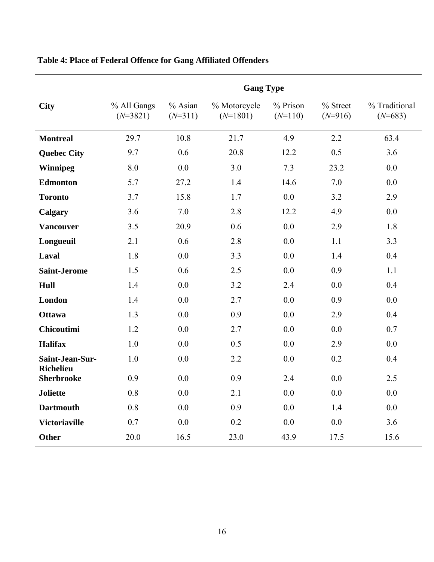|                                       |                           |                      | <b>Gang Type</b>           |                       |                       |                            |
|---------------------------------------|---------------------------|----------------------|----------------------------|-----------------------|-----------------------|----------------------------|
| <b>City</b>                           | % All Gangs<br>$(N=3821)$ | % Asian<br>$(N=311)$ | % Motorcycle<br>$(N=1801)$ | % Prison<br>$(N=110)$ | % Street<br>$(N=916)$ | % Traditional<br>$(N=683)$ |
| <b>Montreal</b>                       | 29.7                      | 10.8                 | 21.7                       | 4.9                   | 2.2                   | 63.4                       |
| <b>Quebec City</b>                    | 9.7                       | 0.6                  | 20.8                       | 12.2                  | 0.5                   | 3.6                        |
| <b>Winnipeg</b>                       | 8.0                       | 0.0                  | 3.0                        | 7.3                   | 23.2                  | 0.0                        |
| <b>Edmonton</b>                       | 5.7                       | 27.2                 | 1.4                        | 14.6                  | 7.0                   | 0.0                        |
| <b>Toronto</b>                        | 3.7                       | 15.8                 | 1.7                        | 0.0                   | 3.2                   | 2.9                        |
| Calgary                               | 3.6                       | 7.0                  | 2.8                        | 12.2                  | 4.9                   | 0.0                        |
| <b>Vancouver</b>                      | 3.5                       | 20.9                 | 0.6                        | 0.0                   | 2.9                   | 1.8                        |
| Longueuil                             | 2.1                       | 0.6                  | 2.8                        | 0.0                   | 1.1                   | 3.3                        |
| Laval                                 | 1.8                       | 0.0                  | 3.3                        | 0.0                   | 1.4                   | 0.4                        |
| <b>Saint-Jerome</b>                   | 1.5                       | 0.6                  | 2.5                        | 0.0                   | 0.9                   | 1.1                        |
| Hull                                  | 1.4                       | 0.0                  | 3.2                        | 2.4                   | 0.0                   | 0.4                        |
| London                                | 1.4                       | 0.0                  | 2.7                        | 0.0                   | 0.9                   | 0.0                        |
| <b>Ottawa</b>                         | 1.3                       | 0.0                  | 0.9                        | 0.0                   | 2.9                   | 0.4                        |
| <b>Chicoutimi</b>                     | 1.2                       | 0.0                  | 2.7                        | 0.0                   | 0.0                   | 0.7                        |
| <b>Halifax</b>                        | 1.0                       | 0.0                  | 0.5                        | 0.0                   | 2.9                   | 0.0                        |
| Saint-Jean-Sur-                       | 1.0                       | 0.0                  | 2.2                        | 0.0                   | 0.2                   | 0.4                        |
| <b>Richelieu</b><br><b>Sherbrooke</b> | 0.9                       | 0.0                  | 0.9                        | 2.4                   | 0.0                   | 2.5                        |
| <b>Joliette</b>                       | 0.8                       | 0.0                  | 2.1                        | 0.0                   | 0.0                   | 0.0                        |
| <b>Dartmouth</b>                      | 0.8                       | 0.0                  | 0.9                        | 0.0                   | 1.4                   | 0.0                        |
| <b>Victoriaville</b>                  | 0.7                       | 0.0                  | 0.2                        | 0.0                   | 0.0                   | 3.6                        |
| <b>Other</b>                          | 20.0                      | 16.5                 | 23.0                       | 43.9                  | 17.5                  | 15.6                       |

# **Table 4: Place of Federal Offence for Gang Affiliated Offenders**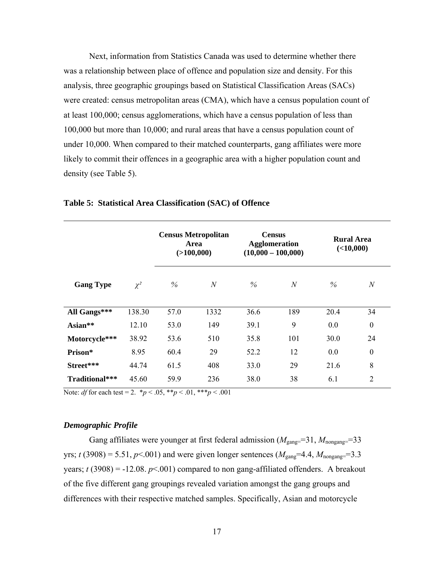Next, information from Statistics Canada was used to determine whether there was a relationship between place of offence and population size and density. For this analysis, three geographic groupings based on Statistical Classification Areas (SACs) were created: census metropolitan areas (CMA), which have a census population count of at least 100,000; census agglomerations, which have a census population of less than 100,000 but more than 10,000; and rural areas that have a census population count of under 10,000. When compared to their matched counterparts, gang affiliates were more likely to commit their offences in a geographic area with a higher population count and density (see Table 5).

|                  |          |      | <b>Census Metropolitan</b><br>Area<br>( >100,000) | <b>Census</b><br><b>Agglomeration</b><br>$(10,000 - 100,000)$ |                | <b>Rural Area</b><br>(<10,000) |                  |
|------------------|----------|------|---------------------------------------------------|---------------------------------------------------------------|----------------|--------------------------------|------------------|
| <b>Gang Type</b> | $\chi^2$ | %    | $\boldsymbol{N}$                                  | $\%$                                                          | $\overline{N}$ | $\%$                           | $\mathcal{N}$    |
| All Gangs***     | 138.30   | 57.0 | 1332                                              | 36.6                                                          | 189            | 20.4                           | 34               |
| Asian $**$       | 12.10    | 53.0 | 149                                               | 39.1                                                          | 9              | 0.0                            | $\boldsymbol{0}$ |
| Motorcycle***    | 38.92    | 53.6 | 510                                               | 35.8                                                          | 101            | 30.0                           | 24               |
| Prison*          | 8.95     | 60.4 | 29                                                | 52.2                                                          | 12             | 0.0                            | $\boldsymbol{0}$ |
| Street***        | 44.74    | 61.5 | 408                                               | 33.0                                                          | 29             | 21.6                           | 8                |
| Traditional***   | 45.60    | 59.9 | 236                                               | 38.0                                                          | 38             | 6.1                            | $\overline{2}$   |

**Table 5: Statistical Area Classification (SAC) of Offence** 

Note: *df* for each test = 2.  $*_{p}$  < .05,  $*_{p}$  < .01,  $*_{p}$  < .001

## *Demographic Profile*

Gang affiliates were younger at first federal admission  $(M_{\text{gang}}=31, M_{\text{nongang}}=33$ yrs; *t* (3908) = 5.51,  $p$ <.001) and were given longer sentences ( $M_{\text{gang}}$ =4.4,  $M_{\text{nongang}}$ =3.3 years;  $t(3908) = -12.08$ .  $p \le 0.001$ ) compared to non gang-affiliated offenders. A breakout of the five different gang groupings revealed variation amongst the gang groups and differences with their respective matched samples. Specifically, Asian and motorcycle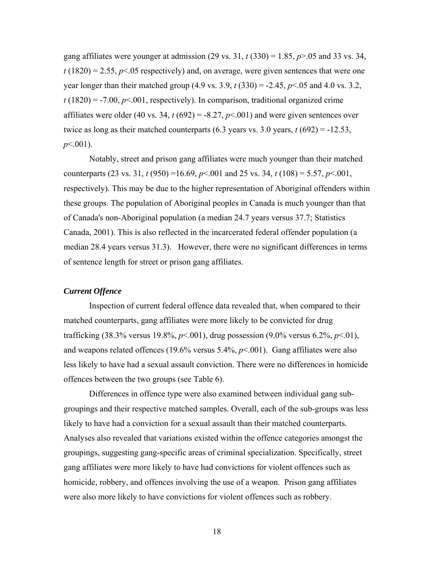gang affiliates were younger at admission (29 vs. 31,  $t$  (330) = 1.85,  $p$ >.05 and 33 vs. 34,  $t(1820) = 2.55$ ,  $p<0.05$  respectively) and, on average, were given sentences that were one year longer than their matched group (4.9 vs. 3.9, *t* (330) = -2.45, *p*<.05 and 4.0 vs. 3.2,  $t(1820) = -7.00, p<0.01$ , respectively). In comparison, traditional organized crime affiliates were older (40 vs. 34,  $t(692) = -8.27$ ,  $p \le 0.001$ ) and were given sentences over twice as long as their matched counterparts  $(6.3 \text{ years vs. } 3.0 \text{ years}, t (692) = -12.53,$ *p*<.001).

Notably, street and prison gang affiliates were much younger than their matched counterparts (23 vs. 31, *t* (950) =16.69, *p*<.001 and 25 vs. 34, *t* (108) = 5.57, *p*<.001, respectively). This may be due to the higher representation of Aboriginal offenders within these groups. The population of Aboriginal peoples in Canada is much younger than that of Canada's non-Aboriginal population (a median 24.7 years versus 37.7; Statistics Canada, 2001). This is also reflected in the incarcerated federal offender population (a median 28.4 years versus 31.3). However, there were no significant differences in terms of sentence length for street or prison gang affiliates.

#### *Current Offence*

Inspection of current federal offence data revealed that, when compared to their matched counterparts, gang affiliates were more likely to be convicted for drug trafficking (38.3% versus 19.8%, *p*<.001), drug possession (9.0% versus 6.2%, *p*<.01), and weapons related offences (19.6% versus  $5.4\%$ ,  $p<.001$ ). Gang affiliates were also less likely to have had a sexual assault conviction. There were no differences in homicide offences between the two groups (see Table 6).

Differences in offence type were also examined between individual gang subgroupings and their respective matched samples. Overall, each of the sub-groups was less likely to have had a conviction for a sexual assault than their matched counterparts. Analyses also revealed that variations existed within the offence categories amongst the groupings, suggesting gang-specific areas of criminal specialization. Specifically, street gang affiliates were more likely to have had convictions for violent offences such as homicide, robbery, and offences involving the use of a weapon. Prison gang affiliates were also more likely to have convictions for violent offences such as robbery.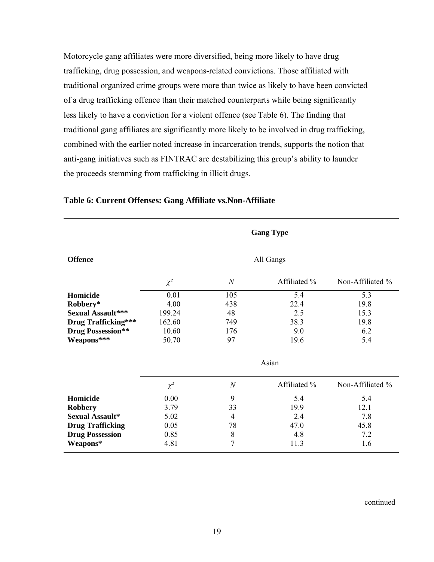Motorcycle gang affiliates were more diversified, being more likely to have drug trafficking, drug possession, and weapons-related convictions. Those affiliated with traditional organized crime groups were more than twice as likely to have been convicted of a drug trafficking offence than their matched counterparts while being significantly less likely to have a conviction for a violent offence (see Table 6). The finding that traditional gang affiliates are significantly more likely to be involved in drug trafficking, combined with the earlier noted increase in incarceration trends, supports the notion that anti-gang initiatives such as FINTRAC are destabilizing this group's ability to launder the proceeds stemming from trafficking in illicit drugs.

|                            | <b>Gang Type</b> |                |              |                  |  |  |  |  |
|----------------------------|------------------|----------------|--------------|------------------|--|--|--|--|
| <b>Offence</b>             | All Gangs        |                |              |                  |  |  |  |  |
|                            | $\chi^2$         | $\mathcal N$   | Affiliated % | Non-Affiliated % |  |  |  |  |
| Homicide                   | 0.01             | 105            | 5.4          | 5.3              |  |  |  |  |
| Robbery*                   | 4.00             | 438            | 22.4         | 19.8             |  |  |  |  |
| <b>Sexual Assault***</b>   | 199.24           | 48             | 2.5          | 15.3             |  |  |  |  |
| <b>Drug Trafficking***</b> | 162.60           | 749            | 38.3         | 19.8             |  |  |  |  |
| <b>Drug Possession**</b>   | 10.60            | 176            | 9.0          | 6.2              |  |  |  |  |
| Weapons***                 | 50.70            | 97             | 19.6         | 5.4              |  |  |  |  |
|                            |                  |                | Asian        |                  |  |  |  |  |
|                            | $\chi^2$         | $\overline{N}$ | Affiliated % | Non-Affiliated % |  |  |  |  |
| <b>Homicide</b>            | 0.00             | 9              | 5.4          | 5.4              |  |  |  |  |
| <b>Robbery</b>             | 3.79             | 33             | 19.9         | 12.1             |  |  |  |  |
| <b>Sexual Assault*</b>     | 5.02             | $\overline{4}$ | 2.4          | 7.8              |  |  |  |  |
| <b>Drug Trafficking</b>    | 0.05             | 78             | 47.0         | 45.8             |  |  |  |  |
| <b>Drug Possession</b>     | 0.85             | 8              | 4.8          | 7.2              |  |  |  |  |
| Weapons*                   | 4.81             | $\overline{7}$ | 11.3         | 1.6              |  |  |  |  |

## **Table 6: Current Offenses: Gang Affiliate vs.Non-Affiliate**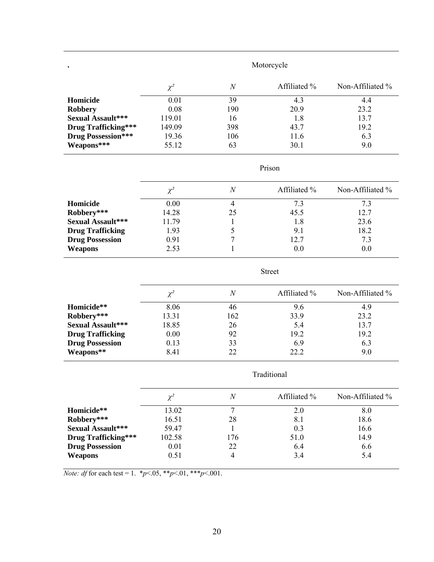| $\bullet$                  | Motorcycle |                |              |                  |  |  |
|----------------------------|------------|----------------|--------------|------------------|--|--|
|                            | $\chi^2$   | $\overline{N}$ | Affiliated % | Non-Affiliated % |  |  |
| Homicide                   | 0.01       | 39             | 4.3          | 4.4              |  |  |
| <b>Robbery</b>             | 0.08       | 190            | 20.9         | 23.2             |  |  |
| <b>Sexual Assault***</b>   | 119.01     | 16             | 1.8          | 13.7             |  |  |
| <b>Drug Trafficking***</b> | 149.09     | 398            | 43.7         | 19.2             |  |  |
| <b>Drug Possession***</b>  | 19.36      | 106            | 11.6         | 6.3              |  |  |
| Weapons***                 | 55.12      | 63             | 30.1         | 9.0              |  |  |

## Prison

Street

|                          | $\chi^2$ |    | Affiliated % | Non-Affiliated % |
|--------------------------|----------|----|--------------|------------------|
| Homicide                 | 0.00     |    | 73           | 7.3              |
| Robbery***               | 14.28    | 25 | 45.5         | 12.7             |
| <b>Sexual Assault***</b> | 11.79    |    | 1.8          | 23.6             |
| <b>Drug Trafficking</b>  | 1.93     |    | 9.1          | 18.2             |
| <b>Drug Possession</b>   | 0.91     |    | 12.7         | 7.3              |
| <b>Weapons</b>           | 2.53     |    | 0.0          | 0.0              |
|                          |          |    |              |                  |

|                          | $\chi^2$ | N   | Affiliated % | Non-Affiliated % |
|--------------------------|----------|-----|--------------|------------------|
| Homicide**               | 8.06     | 46  | 9.6          | 4.9              |
| Robbery***               | 13.31    | 162 | 33.9         | 23.2             |
| <b>Sexual Assault***</b> | 18.85    | 26  | 5.4          | 13.7             |
| <b>Drug Trafficking</b>  | 0.00     | 92  | 19.2         | 19.2             |
| <b>Drug Possession</b>   | 0.13     | 33  | 6.9          | 6.3              |
| Weapons**                | 8.41     | 22  | 22.2         | 9.0              |
|                          |          |     |              |                  |

Traditional

|                            | $\gamma^2$ |     | Affiliated % | Non-Affiliated % |
|----------------------------|------------|-----|--------------|------------------|
| Homicide**                 | 13.02      |     | 2.0          | 8.0              |
| Robbery***                 | 16.51      | 28  | 8.1          | 18.6             |
| <b>Sexual Assault***</b>   | 59.47      |     | 0.3          | 16.6             |
| <b>Drug Trafficking***</b> | 102.58     | 176 | 51.0         | 14.9             |
| <b>Drug Possession</b>     | 0.01       | 22  | 6.4          | 6.6              |
| Weapons                    | 0.51       |     | 3.4          | 5.4              |

*Note: df* for each test = 1.  $* p < .05, ** p < .01, ** p < .001$ .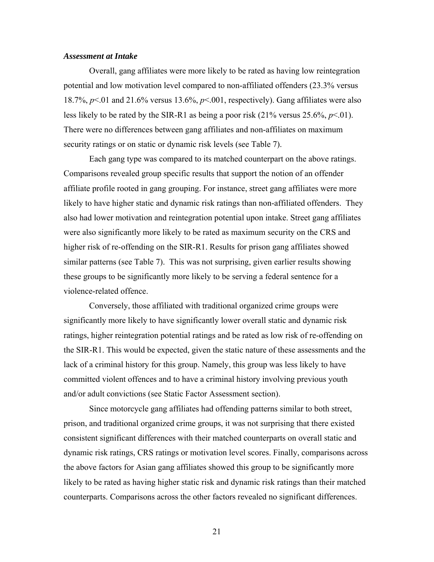#### *Assessment at Intake*

Overall, gang affiliates were more likely to be rated as having low reintegration potential and low motivation level compared to non-affiliated offenders (23.3% versus 18.7%, *p*<.01 and 21.6% versus 13.6%, *p*<.001, respectively). Gang affiliates were also less likely to be rated by the SIR-R1 as being a poor risk  $(21\% \text{ versus } 25.6\%, p<.01)$ . There were no differences between gang affiliates and non-affiliates on maximum security ratings or on static or dynamic risk levels (see Table 7).

Each gang type was compared to its matched counterpart on the above ratings. Comparisons revealed group specific results that support the notion of an offender affiliate profile rooted in gang grouping. For instance, street gang affiliates were more likely to have higher static and dynamic risk ratings than non-affiliated offenders. They also had lower motivation and reintegration potential upon intake. Street gang affiliates were also significantly more likely to be rated as maximum security on the CRS and higher risk of re-offending on the SIR-R1. Results for prison gang affiliates showed similar patterns (see Table 7). This was not surprising, given earlier results showing these groups to be significantly more likely to be serving a federal sentence for a violence-related offence.

Conversely, those affiliated with traditional organized crime groups were significantly more likely to have significantly lower overall static and dynamic risk ratings, higher reintegration potential ratings and be rated as low risk of re-offending on the SIR-R1. This would be expected, given the static nature of these assessments and the lack of a criminal history for this group. Namely, this group was less likely to have committed violent offences and to have a criminal history involving previous youth and/or adult convictions (see Static Factor Assessment section).

Since motorcycle gang affiliates had offending patterns similar to both street, prison, and traditional organized crime groups, it was not surprising that there existed consistent significant differences with their matched counterparts on overall static and dynamic risk ratings, CRS ratings or motivation level scores. Finally, comparisons across the above factors for Asian gang affiliates showed this group to be significantly more likely to be rated as having higher static risk and dynamic risk ratings than their matched counterparts. Comparisons across the other factors revealed no significant differences.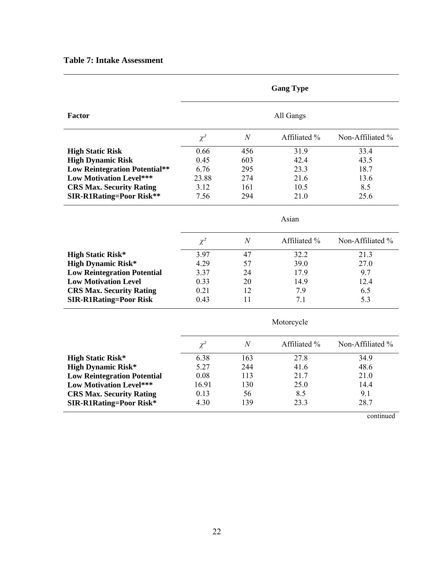|  |  |  |  | <b>Table 7: Intake Assessment</b> |  |
|--|--|--|--|-----------------------------------|--|
|--|--|--|--|-----------------------------------|--|

|                                      |           |                  | <b>Gang Type</b> |                  |
|--------------------------------------|-----------|------------------|------------------|------------------|
| Factor                               | All Gangs |                  |                  |                  |
|                                      | $\chi^2$  | $\mathcal{N}$    | Affiliated %     | Non-Affiliated % |
| <b>High Static Risk</b>              | 0.66      | 456              | 31.9             | 33.4             |
| <b>High Dynamic Risk</b>             | 0.45      | 603              | 42.4             | 43.5             |
| <b>Low Reintegration Potential**</b> | 6.76      | 295              | 23.3             | 18.7             |
| <b>Low Motivation Level***</b>       | 23.88     | 274              | 21.6             | 13.6             |
| <b>CRS Max. Security Rating</b>      | 3.12      | 161              | 10.5             | 8.5              |
| <b>SIR-R1Rating=Poor Risk**</b>      | 7.56      | 294              | 21.0             | 25.6             |
|                                      | Asian     |                  |                  |                  |
|                                      | $\chi^2$  | $\boldsymbol{N}$ | Affiliated %     | Non-Affiliated % |
| <b>High Static Risk*</b>             | 3.97      | 47               | 32.2             | 21.3             |
| <b>High Dynamic Risk*</b>            | 4.29      | 57               | 39.0             | 27.0             |
| <b>Low Reintegration Potential</b>   | 3.37      | 24               | 17.9             | 9.7              |
| <b>Low Motivation Level</b>          | 0.33      | 20               | 14.9             | 12.4             |
| <b>CRS Max. Security Rating</b>      | 0.21      | 12               | 7.9              | 6.5              |
| <b>SIR-R1Rating=Poor Risk</b>        | 0.43      | 11               | 7.1              | 5.3              |
|                                      |           |                  | Motorcycle       |                  |
|                                      | $\chi^2$  | $\mathcal N$     | Affiliated %     | Non-Affiliated % |
| <b>High Static Risk*</b>             | 6.38      | 163              | 27.8             | 34.9             |
| <b>High Dynamic Risk*</b>            | 5.27      | 244              | 41.6             | 48.6             |
| <b>Low Reintegration Potential</b>   | 0.08      | 113              | 21.7             | 21.0             |
| <b>Low Motivation Level***</b>       | 16.91     | 130              | 25.0             | 14.4             |
| <b>CRS Max. Security Rating</b>      | 0.13      | 56               | 8.5              | 9.1              |
| <b>SIR-R1Rating=Poor Risk*</b>       | 4.30      | 139              | 23.3             | 28.7             |
|                                      |           |                  |                  | continued        |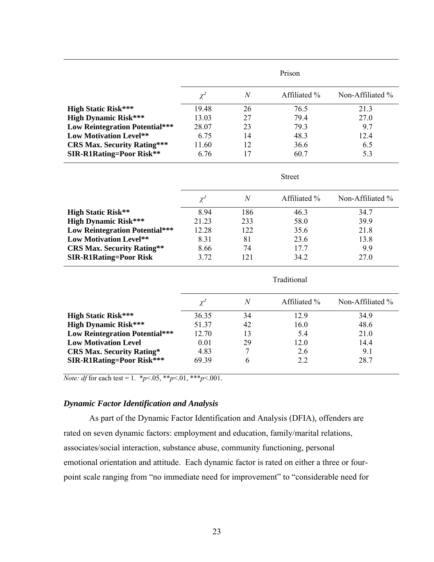|                                    | Prison   |                |              |                     |
|------------------------------------|----------|----------------|--------------|---------------------|
|                                    | $\chi^2$ | $\overline{N}$ | Affiliated % | Non-Affiliated $\%$ |
| <b>High Static Risk***</b>         | 19.48    | 26             | 76.5         | 21.3                |
| <b>High Dynamic Risk***</b>        | 13.03    | 27             | 794          | 27.0                |
| Low Reintegration Potential***     | 28.07    | 23             | 793          | 9.7                 |
| Low Motivation Level**             | 6.75     | 14             | 48.3         | 12.4                |
| <b>CRS Max. Security Rating***</b> | 11.60    | 12             | 36.6         | 6.5                 |
| <b>SIR-R1Rating=Poor Risk**</b>    | 6.76     |                | 60.7         | 5.3                 |

|                                       | $\chi^2$ | N   | Affiliated % | Non-Affiliated $\%$ |
|---------------------------------------|----------|-----|--------------|---------------------|
| <b>High Static Risk**</b>             | 8.94     | 186 | 46.3         | 34.7                |
| <b>High Dynamic Risk***</b>           | 21.23    | 233 | 58.0         | 39.9                |
| <b>Low Reintegration Potential***</b> | 12.28    | 122 | 35.6         | 21.8                |
| Low Motivation Level**                | 8.31     | 81  | 23.6         | 13.8                |
| <b>CRS Max. Security Rating**</b>     | 8.66     | 74  | 177          | 9.9                 |
| <b>SIR-R1Rating=Poor Risk</b>         | 3.72     | 121 | 34.2         | 27.0                |

Street

|                                       | Traditional |                  |              |                     |  |
|---------------------------------------|-------------|------------------|--------------|---------------------|--|
|                                       | $\chi^2$    | $\boldsymbol{N}$ | Affiliated % | Non-Affiliated $\%$ |  |
| <b>High Static Risk***</b>            | 36.35       | 34               | 12.9         | 34.9                |  |
| <b>High Dynamic Risk***</b>           | 51.37       | 42               | 16.0         | 48.6                |  |
| <b>Low Reintegration Potential***</b> | 12.70       | 13               | 5.4          | 21.0                |  |
| <b>Low Motivation Level</b>           | 0.01        | 29               | 12.0         | 14.4                |  |
| <b>CRS Max. Security Rating*</b>      | 4.83        |                  | 2.6          | 9.1                 |  |
| <b>SIR-R1Rating=Poor Risk***</b>      | 69.39       | 6                | 22           | 28.7                |  |

*Note: df* for each test = 1.  $* p < .05, ** p < .01, ** p < .001$ .

### *Dynamic Factor Identification and Analysis*

As part of the Dynamic Factor Identification and Analysis (DFIA), offenders are rated on seven dynamic factors: employment and education, family/marital relations, associates/social interaction, substance abuse, community functioning, personal emotional orientation and attitude. Each dynamic factor is rated on either a three or fourpoint scale ranging from "no immediate need for improvement" to "considerable need for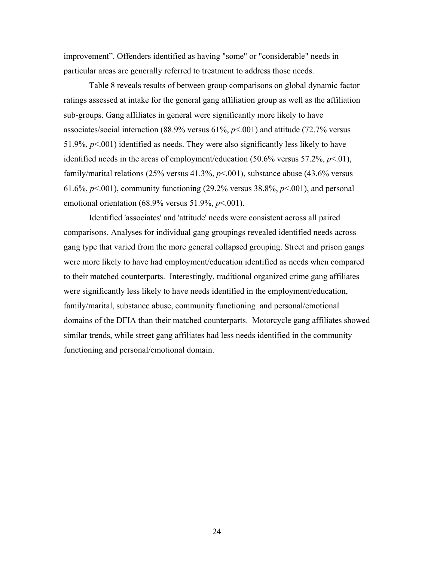improvement". Offenders identified as having "some" or "considerable" needs in particular areas are generally referred to treatment to address those needs.

Table 8 reveals results of between group comparisons on global dynamic factor ratings assessed at intake for the general gang affiliation group as well as the affiliation sub-groups. Gang affiliates in general were significantly more likely to have associates/social interaction (88.9% versus 61%, *p*<.001) and attitude (72.7% versus 51.9%,  $p<.001$ ) identified as needs. They were also significantly less likely to have identified needs in the areas of employment/education (50.6% versus 57.2%, *p*<.01), family/marital relations (25% versus 41.3%, *p*<.001), substance abuse (43.6% versus 61.6%, *p*<.001), community functioning (29.2% versus 38.8%, *p*<.001), and personal emotional orientation (68.9% versus 51.9%, *p*<.001).

Identified 'associates' and 'attitude' needs were consistent across all paired comparisons. Analyses for individual gang groupings revealed identified needs across gang type that varied from the more general collapsed grouping. Street and prison gangs were more likely to have had employment/education identified as needs when compared to their matched counterparts. Interestingly, traditional organized crime gang affiliates were significantly less likely to have needs identified in the employment/education, family/marital, substance abuse, community functioning and personal/emotional domains of the DFIA than their matched counterparts. Motorcycle gang affiliates showed similar trends, while street gang affiliates had less needs identified in the community functioning and personal/emotional domain.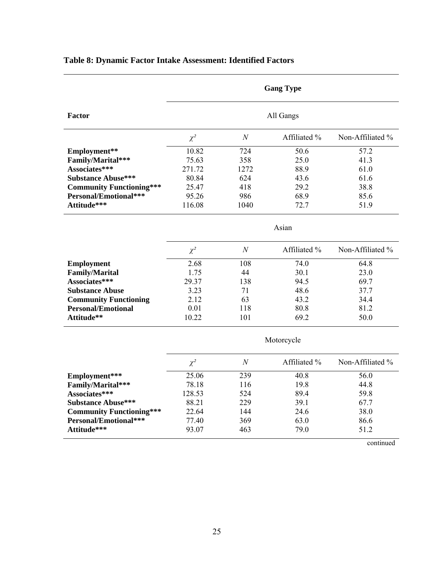|                                 | <b>Gang Type</b><br>All Gangs |                  |              |                  |
|---------------------------------|-------------------------------|------------------|--------------|------------------|
| <b>Factor</b>                   |                               |                  |              |                  |
|                                 | $\chi^2$                      | $\boldsymbol{N}$ | Affiliated % | Non-Affiliated % |
| Employment**                    | 10.82                         | 724              | 50.6         | 57.2             |
| Family/Marital***               | 75.63                         | 358              | 25.0         | 41.3             |
| Associates***                   | 271.72                        | 1272             | 88.9         | 61.0             |
| <b>Substance Abuse***</b>       | 80.84                         | 624              | 43.6         | 61.6             |
| <b>Community Functioning***</b> | 25.47                         | 418              | 29.2         | 38.8             |
| Personal/Emotional***           | 95.26                         | 986              | 68.9         | 85.6             |
| Attitude***                     | 116.08                        | 1040             | 72.7         | 51.9             |
|                                 | Asian                         |                  |              |                  |
|                                 | $\chi^2$                      | $\boldsymbol{N}$ | Affiliated % | Non-Affiliated % |
| <b>Employment</b>               | 2.68                          | 108              | 74.0         | 64.8             |
| <b>Family/Marital</b>           | 1.75                          | 44               | 30.1         | 23.0             |
| Associates***                   | 29.37                         | 138              | 94.5         | 69.7             |
| <b>Substance Abuse</b>          | 3.23                          | 71               | 48.6         | 37.7             |
| <b>Community Functioning</b>    | 2.12                          | 63               | 43.2         | 34.4             |
| <b>Personal/Emotional</b>       | 0.01                          | 118              | 80.8         | 81.2             |
| Attitude**                      | 10.22                         | 101              | 69.2         | 50.0             |
|                                 |                               |                  | Motorcycle   |                  |
|                                 | $\chi^2$                      | $\boldsymbol{N}$ | Affiliated % | Non-Affiliated % |
| Employment***                   | 25.06                         | 239              | 40.8         | 56.0             |
| Family/Marital***               | 78.18                         | 116              | 19.8         | 44.8             |
| Associates***                   | 128.53                        | 524              | 89.4         | 59.8             |
| <b>Substance Abuse***</b>       | 88.21                         | 229              | 39.1         | 67.7             |
| <b>Community Functioning***</b> | 22.64                         | 144              | 24.6         | 38.0             |
| Personal/Emotional***           | 77.40                         | 369              | 63.0         | 86.6             |
| Attitude***                     | 93.07                         | 463              | 79.0         | 51.2             |
|                                 |                               |                  |              | continued        |

# **Table 8: Dynamic Factor Intake Assessment: Identified Factors**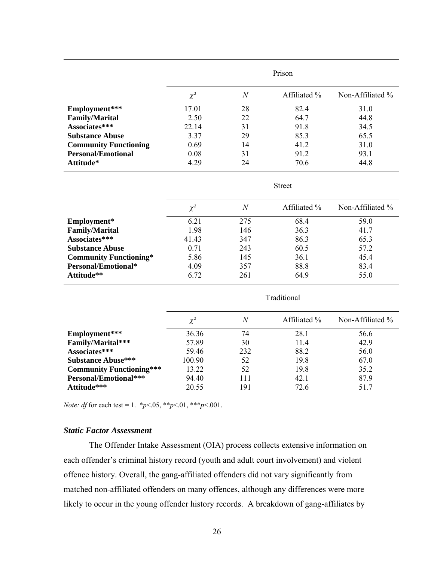|                              | Prison   |                   |              |                  |
|------------------------------|----------|-------------------|--------------|------------------|
|                              | $\chi^2$ | $\mathcal{N}_{0}$ | Affiliated % | Non-Affiliated % |
| Employment***                | 17.01    | 28                | 82.4         | 31.0             |
| <b>Family/Marital</b>        | 2.50     | 22                | 64.7         | 44.8             |
| Associates***                | 22.14    | 31                | 91.8         | 34.5             |
| <b>Substance Abuse</b>       | 3.37     | 29                | 85.3         | 65.5             |
| <b>Community Functioning</b> | 0.69     | 14                | 41.2         | 31.0             |
| <b>Personal/Emotional</b>    | 0.08     | 31                | 91.2         | 93.1             |
| Attitude*                    | 4.29     | 24                | 70.6         | 44.8             |

Street

|                               | $\chi^2$ | N   | Affiliated % | Non-Affiliated $\%$ |
|-------------------------------|----------|-----|--------------|---------------------|
| Employment*                   | 6.21     | 275 | 68.4         | 59.0                |
| <b>Family/Marital</b>         | 1.98     | 146 | 36.3         | 41.7                |
| Associates***                 | 41.43    | 347 | 86.3         | 65.3                |
| <b>Substance Abuse</b>        | 0.71     | 243 | 60.5         | 57.2                |
| <b>Community Functioning*</b> | 5.86     | 145 | 36.1         | 45.4                |
| Personal/Emotional*           | 4.09     | 357 | 88.8         | 83.4                |
| Attitude**                    | 6.72     | 261 | 64.9         | 55.0                |

|                                 | Traditional |     |              |                  |  |
|---------------------------------|-------------|-----|--------------|------------------|--|
|                                 | $\chi^2$    | N   | Affiliated % | Non-Affiliated % |  |
| Employment***                   | 36.36       | 74  | 28.1         | 56.6             |  |
| Family/Marital***               | 57.89       | 30  | 11.4         | 42.9             |  |
| Associates***                   | 59.46       | 232 | 88.2         | 56.0             |  |
| <b>Substance Abuse***</b>       | 100.90      | 52  | 19.8         | 67.0             |  |
| <b>Community Functioning***</b> | 13.22       | 52  | 19.8         | 35.2             |  |
| Personal/Emotional***           | 94.40       | 111 | 42.1         | 87.9             |  |
| Attitude***                     | 20.55       | 191 | 72.6         | 51.7             |  |

*Note: df* for each test = 1. \**p* < 0.05, \*\**p* < 0.01, \*\*\**p* < 0.01.

## *Static Factor Assessment*

The Offender Intake Assessment (OIA) process collects extensive information on each offender's criminal history record (youth and adult court involvement) and violent offence history. Overall, the gang-affiliated offenders did not vary significantly from matched non-affiliated offenders on many offences, although any differences were more likely to occur in the young offender history records. A breakdown of gang-affiliates by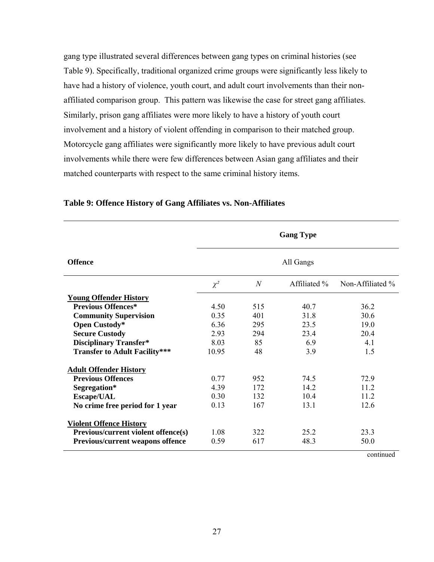gang type illustrated several differences between gang types on criminal histories (see Table 9). Specifically, traditional organized crime groups were significantly less likely to have had a history of violence, youth court, and adult court involvements than their nonaffiliated comparison group. This pattern was likewise the case for street gang affiliates. Similarly, prison gang affiliates were more likely to have a history of youth court involvement and a history of violent offending in comparison to their matched group. Motorcycle gang affiliates were significantly more likely to have previous adult court involvements while there were few differences between Asian gang affiliates and their matched counterparts with respect to the same criminal history items.

|                                         | <b>Gang Type</b>                                             |     |           |      |  |
|-----------------------------------------|--------------------------------------------------------------|-----|-----------|------|--|
| <b>Offence</b>                          |                                                              |     | All Gangs |      |  |
|                                         | $\mathcal N$<br>Affiliated %<br>Non-Affiliated %<br>$\chi^2$ |     |           |      |  |
| <b>Young Offender History</b>           |                                                              |     |           |      |  |
| <b>Previous Offences*</b>               | 4.50                                                         | 515 | 40.7      | 36.2 |  |
| <b>Community Supervision</b>            | 0.35                                                         | 401 | 31.8      | 30.6 |  |
| Open Custody*                           | 636                                                          | 295 | 23.5      | 19.0 |  |
| <b>Secure Custody</b>                   | 2.93                                                         | 294 | 23.4      | 20.4 |  |
| <b>Disciplinary Transfer*</b>           | 8.03                                                         | 85  | 6.9       | 4.1  |  |
| <b>Transfer to Adult Facility***</b>    | 10.95                                                        | 48  | 3.9       | 1.5  |  |
| <b>Adult Offender History</b>           |                                                              |     |           |      |  |
| <b>Previous Offences</b>                | 0.77                                                         | 952 | 74.5      | 72.9 |  |
| Segregation*                            | 4.39                                                         | 172 | 14.2      | 11.2 |  |
| <b>Escape/UAL</b>                       | 0,30                                                         | 132 | 104       | 11 2 |  |
| No crime free period for 1 year         | 0.13                                                         | 167 | 13.1      | 12.6 |  |
| <b>Violent Offence History</b>          |                                                              |     |           |      |  |
| Previous/current violent offence(s)     | 1.08                                                         | 322 | 25.2      | 23.3 |  |
| <b>Previous/current weapons offence</b> | 0.59                                                         | 617 | 48.3      | 50.0 |  |

### **Table 9: Offence History of Gang Affiliates vs. Non-Affiliates**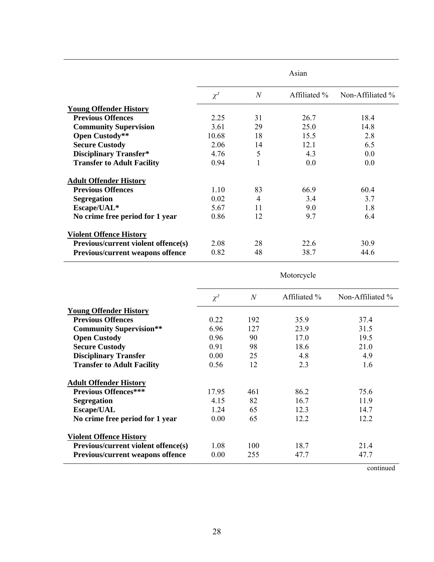|                                            | Asian    |                  |              |                  |
|--------------------------------------------|----------|------------------|--------------|------------------|
|                                            | $\chi^2$ | $\boldsymbol{N}$ | Affiliated % | Non-Affiliated % |
| <b>Young Offender History</b>              |          |                  |              |                  |
| <b>Previous Offences</b>                   | 2.25     | 31               | 26.7         | 18.4             |
| <b>Community Supervision</b>               | 3.61     | 29               | 25.0         | 14.8             |
| Open Custody**                             | 10.68    | 18               | 15.5         | 2.8              |
| <b>Secure Custody</b>                      | 2.06     | 14               | 12.1         | 6.5              |
| <b>Disciplinary Transfer*</b>              | 4.76     | 5                | 4.3          | 0.0              |
| <b>Transfer to Adult Facility</b>          | 0.94     | 1                | 0.0          | 0.0              |
| <b>Adult Offender History</b>              |          |                  |              |                  |
| <b>Previous Offences</b>                   | 1.10     | 83               | 66.9         | 60.4             |
| <b>Segregation</b>                         | 0.02     | $\overline{4}$   | 3.4          | 3.7              |
| Escape/UAL*                                | 5.67     | 11               | 9.0          | 1.8              |
| No crime free period for 1 year            | 0.86     | 12               | 9.7          | 6.4              |
| <b>Violent Offence History</b>             |          |                  |              |                  |
| <b>Previous/current violent offence(s)</b> | 2.08     | 28               | 22.6         | 30.9             |
| <b>Previous/current weapons offence</b>    | 0.82     | 48               | 38.7         | 44.6             |

Motorcycle

|                                         | $\chi^2$ | $\overline{N}$ | Affiliated % | Non-Affiliated % |
|-----------------------------------------|----------|----------------|--------------|------------------|
| <b>Young Offender History</b>           |          |                |              |                  |
| <b>Previous Offences</b>                | 0.22     | 192            | 35.9         | 37.4             |
| <b>Community Supervision**</b>          | 6.96     | 127            | 23.9         | 31.5             |
| <b>Open Custody</b>                     | 0.96     | 90             | 17.0         | 19.5             |
| <b>Secure Custody</b>                   | 0.91     | 98             | 18.6         | 21.0             |
| <b>Disciplinary Transfer</b>            | 0.00     | 25             | 4.8          | 4.9              |
| <b>Transfer to Adult Facility</b>       | 0.56     | 12             | 2.3          | 1.6              |
| <b>Adult Offender History</b>           |          |                |              |                  |
| <b>Previous Offences***</b>             | 17.95    | 461            | 86.2         | 75.6             |
| <b>Segregation</b>                      | 4.15     | 82             | 16.7         | 11.9             |
| <b>Escape/UAL</b>                       | 1.24     | 65             | 12.3         | 14.7             |
| No crime free period for 1 year         | 0.00     | 65             | 12.2         | 12.2             |
| <b>Violent Offence History</b>          |          |                |              |                  |
| Previous/current violent offence(s)     | 1.08     | 100            | 18.7         | 21.4             |
| <b>Previous/current weapons offence</b> | 0.00     | 255            | 47.7         | 47.7             |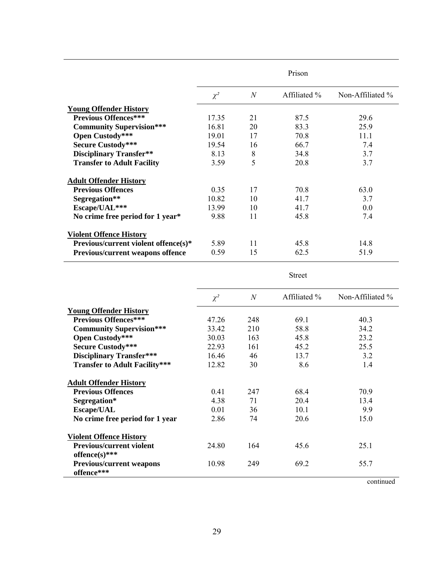|                                             | Prison   |                |              |                     |
|---------------------------------------------|----------|----------------|--------------|---------------------|
|                                             | $\chi^2$ | $\overline{N}$ | Affiliated % | Non-Affiliated $\%$ |
| <b>Young Offender History</b>               |          |                |              |                     |
| <b>Previous Offences***</b>                 | 17.35    | 21             | 87.5         | 29.6                |
| <b>Community Supervision***</b>             | 16.81    | 20             | 83.3         | 25.9                |
| Open Custody***                             | 19.01    | 17             | 70.8         | 11.1                |
| <b>Secure Custody***</b>                    | 19.54    | 16             | 66.7         | 7.4                 |
| <b>Disciplinary Transfer**</b>              | 8.13     | 8              | 34.8         | 3.7                 |
| <b>Transfer to Adult Facility</b>           | 3.59     | 5              | 20.8         | 3.7                 |
| <b>Adult Offender History</b>               |          |                |              |                     |
| <b>Previous Offences</b>                    | 0.35     | 17             | 70.8         | 63.0                |
| Segregation**                               | 10.82    | 10             | 41.7         | 3.7                 |
| Escape/UAL***                               | 13.99    | 10             | 41.7         | 0.0                 |
| No crime free period for 1 year*            | 9.88     | 11             | 45.8         | 7.4                 |
| <b>Violent Offence History</b>              |          |                |              |                     |
| <b>Previous/current violent offence(s)*</b> | 5.89     | 11             | 45.8         | 14.8                |
| Previous/current weapons offence            | 0.59     | 15             | 62.5         | 51.9                |

Street

|                                      | $\chi^2$ | $\overline{N}$ | Affiliated % | Non-Affiliated % |
|--------------------------------------|----------|----------------|--------------|------------------|
| <b>Young Offender History</b>        |          |                |              |                  |
| <b>Previous Offences***</b>          | 47.26    | 248            | 69.1         | 40.3             |
| <b>Community Supervision***</b>      | 33.42    | 210            | 58.8         | 34.2             |
| Open Custody***                      | 30.03    | 163            | 45.8         | 23.2             |
| <b>Secure Custody***</b>             | 22.93    | 161            | 45.2         | 25.5             |
| <b>Disciplinary Transfer***</b>      | 16.46    | 46             | 13.7         | 3.2              |
| <b>Transfer to Adult Facility***</b> | 12.82    | 30             | 8.6          | 1.4              |
| <b>Adult Offender History</b>        |          |                |              |                  |
| <b>Previous Offences</b>             | 0.41     | 247            | 68.4         | 70.9             |
| Segregation*                         | 4.38     | 71             | 20.4         | 13.4             |
| <b>Escape/UAL</b>                    | 0.01     | 36             | 10.1         | 9.9              |
| No crime free period for 1 year      | 2.86     | 74             | 20.6         | 15.0             |
| <b>Violent Offence History</b>       |          |                |              |                  |
| <b>Previous/current violent</b>      | 24.80    | 164            | 45.6         | 25.1             |
| offence(s)***                        |          |                |              |                  |
| <b>Previous/current weapons</b>      | 10.98    | 249            | 69.2         | 55.7             |
| offence***                           |          |                |              |                  |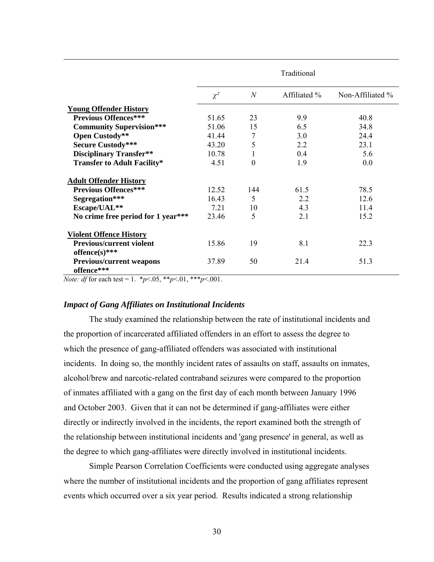|                                                  | Traditional |                |              |                  |
|--------------------------------------------------|-------------|----------------|--------------|------------------|
|                                                  | $\chi^2$    | $\overline{N}$ | Affiliated % | Non-Affiliated % |
| <b>Young Offender History</b>                    |             |                |              |                  |
| <b>Previous Offences***</b>                      | 51.65       | 23             | 9.9          | 40.8             |
| <b>Community Supervision***</b>                  | 51.06       | 15             | 6.5          | 34.8             |
| Open Custody**                                   | 41.44       | 7              | 3.0          | 24.4             |
| <b>Secure Custody***</b>                         | 43.20       | 5              | 2.2          | 23.1             |
| <b>Disciplinary Transfer**</b>                   | 10.78       | 1              | 0.4          | 5.6              |
| <b>Transfer to Adult Facility*</b>               | 4.51        | $\overline{0}$ | 1.9          | 0.0              |
| <b>Adult Offender History</b>                    |             |                |              |                  |
| <b>Previous Offences***</b>                      | 12.52       | 144            | 61.5         | 78.5             |
| Segregation***                                   | 16.43       | 5              | 2.2          | 12.6             |
| Escape/UAL**                                     | 7.21        | 10             | 4.3          | 11.4             |
| No crime free period for 1 year***               | 23.46       | 5              | 2.1          | 15.2             |
| <b>Violent Offence History</b>                   |             |                |              |                  |
| <b>Previous/current violent</b>                  | 15.86       | 19             | 8.1          | 22.3             |
| offence(s)***<br><b>Previous/current weapons</b> | 37.89       | 50             | 21.4         | 51.3             |
| offence***                                       |             |                |              |                  |

*Note: df* for each test = 1.  $*_{p}$  < 0.05,  $*_{p}$  < 0.01,  $*_{p}$  < 0.001.

#### *Impact of Gang Affiliates on Institutional Incidents*

The study examined the relationship between the rate of institutional incidents and the proportion of incarcerated affiliated offenders in an effort to assess the degree to which the presence of gang-affiliated offenders was associated with institutional incidents. In doing so, the monthly incident rates of assaults on staff, assaults on inmates, alcohol/brew and narcotic-related contraband seizures were compared to the proportion of inmates affiliated with a gang on the first day of each month between January 1996 and October 2003. Given that it can not be determined if gang-affiliates were either directly or indirectly involved in the incidents, the report examined both the strength of the relationship between institutional incidents and 'gang presence' in general, as well as the degree to which gang-affiliates were directly involved in institutional incidents.

Simple Pearson Correlation Coefficients were conducted using aggregate analyses where the number of institutional incidents and the proportion of gang affiliates represent events which occurred over a six year period. Results indicated a strong relationship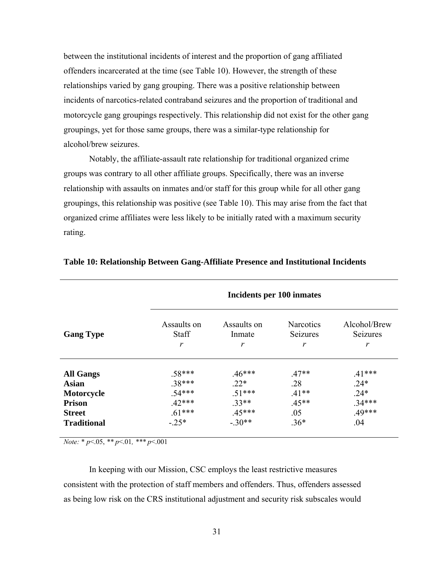between the institutional incidents of interest and the proportion of gang affiliated offenders incarcerated at the time (see Table 10). However, the strength of these relationships varied by gang grouping. There was a positive relationship between incidents of narcotics-related contraband seizures and the proportion of traditional and motorcycle gang groupings respectively. This relationship did not exist for the other gang groupings, yet for those same groups, there was a similar-type relationship for alcohol/brew seizures.

Notably, the affiliate-assault rate relationship for traditional organized crime groups was contrary to all other affiliate groups. Specifically, there was an inverse relationship with assaults on inmates and/or staff for this group while for all other gang groupings, this relationship was positive (see Table 10). This may arise from the fact that organized crime affiliates were less likely to be initially rated with a maximum security rating.

|                    |                                             |                            | Incidents per 100 inmates                |                                      |
|--------------------|---------------------------------------------|----------------------------|------------------------------------------|--------------------------------------|
| <b>Gang Type</b>   | Assaults on<br><b>Staff</b><br>$\mathbf{r}$ | Assaults on<br>Inmate<br>r | <b>Narcotics</b><br><b>Seizures</b><br>r | Alcohol/Brew<br><b>Seizures</b><br>r |
| <b>All Gangs</b>   | $.58***$                                    | $.46***$                   | $.47**$                                  | $.41***$                             |
| <b>Asian</b>       | 38***                                       | $22*$                      | .28                                      | $.24*$                               |
| Motorcycle         | 54***                                       | $.51***$                   | $.41**$                                  | $.24*$                               |
| <b>Prison</b>      | $.42***$                                    | $33**$                     | $.45**$                                  | $.34***$                             |
| <b>Street</b>      | $.61***$                                    | $.45***$                   | .05                                      | $.49***$                             |
| <b>Traditional</b> | $-25*$                                      | $-30**$                    | $.36*$                                   | .04                                  |
|                    |                                             |                            |                                          |                                      |

#### **Table 10: Relationship Between Gang-Affiliate Presence and Institutional Incidents**

*Note:* \* *p*<.05, *\*\* p*<.01*, \*\*\* p*<.001

In keeping with our Mission, CSC employs the least restrictive measures consistent with the protection of staff members and offenders. Thus, offenders assessed as being low risk on the CRS institutional adjustment and security risk subscales would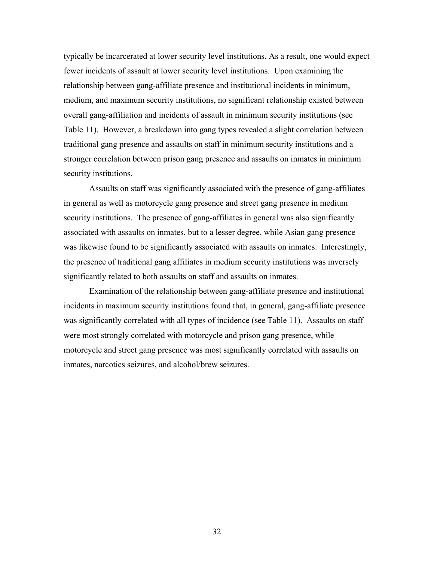typically be incarcerated at lower security level institutions. As a result, one would expect fewer incidents of assault at lower security level institutions. Upon examining the relationship between gang-affiliate presence and institutional incidents in minimum, medium, and maximum security institutions, no significant relationship existed between overall gang-affiliation and incidents of assault in minimum security institutions (see Table 11). However, a breakdown into gang types revealed a slight correlation between traditional gang presence and assaults on staff in minimum security institutions and a stronger correlation between prison gang presence and assaults on inmates in minimum security institutions.

Assaults on staff was significantly associated with the presence of gang-affiliates in general as well as motorcycle gang presence and street gang presence in medium security institutions. The presence of gang-affiliates in general was also significantly associated with assaults on inmates, but to a lesser degree, while Asian gang presence was likewise found to be significantly associated with assaults on inmates. Interestingly, the presence of traditional gang affiliates in medium security institutions was inversely significantly related to both assaults on staff and assaults on inmates.

Examination of the relationship between gang-affiliate presence and institutional incidents in maximum security institutions found that, in general, gang-affiliate presence was significantly correlated with all types of incidence (see Table 11). Assaults on staff were most strongly correlated with motorcycle and prison gang presence, while motorcycle and street gang presence was most significantly correlated with assaults on inmates, narcotics seizures, and alcohol/brew seizures.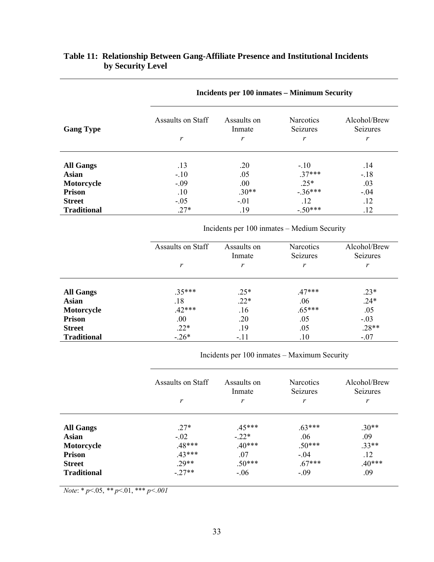|                    |                   |                       | Incidents per 100 inmates – Minimum Security | Alcohol/Brew<br><b>Seizures</b> |  |  |
|--------------------|-------------------|-----------------------|----------------------------------------------|---------------------------------|--|--|
| <b>Gang Type</b>   | Assaults on Staff | Assaults on<br>Inmate | <b>Narcotics</b><br>Seizures                 |                                 |  |  |
|                    | r                 | r                     | r                                            | r                               |  |  |
| <b>All Gangs</b>   | .13               | .20                   | $-.10$                                       | .14                             |  |  |
| <b>Asian</b>       | $-.10$            | .05                   | $.37***$                                     | $-.18$                          |  |  |
| Motorcycle         | $-.09$            | .00.                  | $.25*$                                       | .03                             |  |  |
| <b>Prison</b>      | .10               | $.30**$               | $-.36***$                                    | $-.04$                          |  |  |
| <b>Street</b>      | $-.05$            | $-.01$                | .12                                          | .12                             |  |  |
| <b>Traditional</b> | $.27*$            | .19                   | $-.50***$                                    | .12                             |  |  |

# **Table 11: Relationship Between Gang-Affiliate Presence and Institutional Incidents by Security Level**

Incidents per 100 inmates – Medium Security

|                    | Assaults on Staff | Assaults on<br>Inmate | <b>Narcotics</b><br>Seizures | Alcohol/Brew<br>Seizures |
|--------------------|-------------------|-----------------------|------------------------------|--------------------------|
|                    | r                 | r                     | r                            | r                        |
| <b>All Gangs</b>   | $.35***$          | $.25*$                | $.47***$                     | $.23*$                   |
| <b>Asian</b>       | .18               | $.22*$                | .06                          | $.24*$                   |
| Motorcycle         | $.42***$          | .16                   | $.65***$                     | .05                      |
| <b>Prison</b>      | .00.              | .20                   | .05                          | $-.03$                   |
| <b>Street</b>      | $.22*$            | .19                   | .05                          | $.28**$                  |
| <b>Traditional</b> | $-.26*$           | $-.11$                | .10                          | $-.07$                   |

Incidents per 100 inmates – Maximum Security

|                    | Assaults on Staff<br>r | Assaults on<br>Inmate<br>r | <b>Narcotics</b><br>Seizures<br>r | Alcohol/Brew<br>Seizures<br>r |
|--------------------|------------------------|----------------------------|-----------------------------------|-------------------------------|
|                    |                        |                            |                                   |                               |
| <b>All Gangs</b>   | $27*$                  | $.45***$                   | $.63***$                          | $.30**$                       |
| Asian              | $-.02$                 | $-.22*$                    | .06                               | .09                           |
| Motorcycle         | .48***                 | $.40***$                   | $.50***$                          | $.33**$                       |
| <b>Prison</b>      | $.43***$               | .07                        | $-.04$                            | .12                           |
| <b>Street</b>      | $.29**$                | $.50***$                   | $.67***$                          | $.40***$                      |
| <b>Traditional</b> | $-27**$                | $-.06$                     | $-.09$                            | .09                           |

*Note*: \* *p*<.05, *\*\* p*<.01, \*\*\* *p<.001*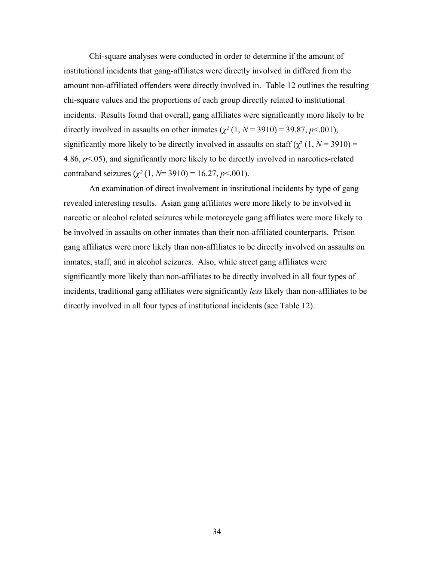Chi-square analyses were conducted in order to determine if the amount of institutional incidents that gang-affiliates were directly involved in differed from the amount non-affiliated offenders were directly involved in. Table 12 outlines the resulting chi-square values and the proportions of each group directly related to institutional incidents. Results found that overall, gang affiliates were significantly more likely to be directly involved in assaults on other inmates  $(\chi^2(1, N = 3910) = 39.87, p < .001)$ , significantly more likely to be directly involved in assaults on staff ( $\chi^2$  (1, *N* = 3910) = 4.86, *p*<.05), and significantly more likely to be directly involved in narcotics-related contraband seizures  $(\chi^2(1, N=3910) = 16.27, p < 0.001)$ .

An examination of direct involvement in institutional incidents by type of gang revealed interesting results. Asian gang affiliates were more likely to be involved in narcotic or alcohol related seizures while motorcycle gang affiliates were more likely to be involved in assaults on other inmates than their non-affiliated counterparts. Prison gang affiliates were more likely than non-affiliates to be directly involved on assaults on inmates, staff, and in alcohol seizures. Also, while street gang affiliates were significantly more likely than non-affiliates to be directly involved in all four types of incidents, traditional gang affiliates were significantly *less* likely than non-affiliates to be directly involved in all four types of institutional incidents (see Table 12).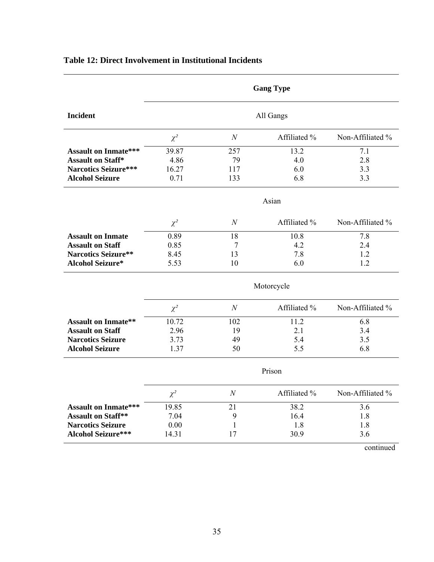|                             |            |                  | <b>Gang Type</b>  |                  |  |  |
|-----------------------------|------------|------------------|-------------------|------------------|--|--|
| <b>Incident</b>             |            |                  | All Gangs         |                  |  |  |
|                             | $\chi^2$   | $\mathcal N$     | Affiliated %      | Non-Affiliated % |  |  |
| <b>Assault on Inmate***</b> | 39.87      | 257              | 13.2              | 7.1              |  |  |
| <b>Assault on Staff*</b>    | 4.86       | 79               | 4.0               | 2.8              |  |  |
| <b>Narcotics Seizure***</b> | 16.27      | 117              | 6.0               | 3.3              |  |  |
| <b>Alcohol Seizure</b>      | 0.71       | 133              | 6.8               | 3.3              |  |  |
|                             |            |                  | Asian             |                  |  |  |
|                             | $\chi^2$   | $\boldsymbol{N}$ | Affiliated %      | Non-Affiliated % |  |  |
| <b>Assault on Inmate</b>    | 0.89       | 18               | 10.8              | 7.8              |  |  |
| <b>Assault on Staff</b>     | 0.85       | $\tau$           | 4.2               | 2.4              |  |  |
| <b>Narcotics Seizure**</b>  | 8.45       | 13               | 7.8               | 1.2              |  |  |
| <b>Alcohol Seizure*</b>     | 5.53       | 10               | 6.0               | 1.2              |  |  |
|                             | Motorcycle |                  |                   |                  |  |  |
|                             | $\chi^2$   | $\overline{N}$   | Affiliated %      | Non-Affiliated % |  |  |
| <b>Assault on Inmate**</b>  | 10.72      | 102              | $11.\overline{2}$ | 6.8              |  |  |
| <b>Assault on Staff</b>     | 2.96       | 19               | 2.1               | 3.4              |  |  |
| <b>Narcotics Seizure</b>    | 3.73       | 49               | 5.4               | 3.5              |  |  |
| <b>Alcohol Seizure</b>      | 1.37       | 50               | 5.5               | 6.8              |  |  |
|                             |            |                  | Prison            |                  |  |  |
|                             | $\chi^2$   | $\mathcal N$     | Affiliated %      | Non-Affiliated % |  |  |
| <b>Assault on Inmate***</b> | 19.85      | 21               | 38.2              | 3.6              |  |  |
| <b>Assault on Staff**</b>   | 7.04       | 9                | 16.4              | 1.8              |  |  |
| <b>Narcotics Seizure</b>    | 0.00       | $\mathbf{1}$     | 1.8               | 1.8              |  |  |
| <b>Alcohol Seizure***</b>   | 14.31      | 17               | 30.9              | 3.6              |  |  |

# **Table 12: Direct Involvement in Institutional Incidents**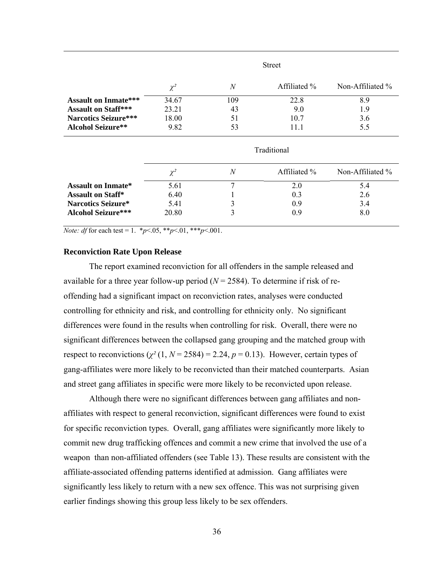|                             | <b>Street</b> |                |              |                  |  |
|-----------------------------|---------------|----------------|--------------|------------------|--|
|                             | $\chi^2$      | $\overline{N}$ | Affiliated % | Non-Affiliated % |  |
| <b>Assault on Inmate***</b> | 34.67         | 109            | 22.8         | 8.9              |  |
| <b>Assault on Staff***</b>  | 23.21         | 43             | 9.0          | 1.9              |  |
| <b>Narcotics Seizure***</b> | 18.00         | 51             | 10.7         | 3.6              |  |
| <b>Alcohol Seizure**</b>    | 9.82          | 53             | 11.1         | 5.5              |  |
|                             | Traditional   |                |              |                  |  |
|                             | $\chi^2$      | $\overline{N}$ | Affiliated % | Non-Affiliated % |  |
| <b>Assault on Inmate*</b>   | 5.61          | 7              | 2.0          | 5.4              |  |
| <b>Assault on Staff*</b>    | 6.40          |                | 0.3          | 2.6              |  |
| Narcotics Seizure*          | 5.41          | 3              | 0.9          | 3.4              |  |
| <b>Alcohol Seizure***</b>   | 20.80         | 3              | 0.9          | 8.0              |  |

*Note: df* for each test = 1.  $*_{p}$  < 0.05,  $*_{p}$  < 0.01,  $*_{p}$  < 0.001.

#### **Reconviction Rate Upon Release**

The report examined reconviction for all offenders in the sample released and available for a three year follow-up period  $(N = 2584)$ . To determine if risk of reoffending had a significant impact on reconviction rates, analyses were conducted controlling for ethnicity and risk, and controlling for ethnicity only. No significant differences were found in the results when controlling for risk. Overall, there were no significant differences between the collapsed gang grouping and the matched group with respect to reconvictions  $(\chi^2(1, N = 2584) = 2.24, p = 0.13)$ . However, certain types of gang-affiliates were more likely to be reconvicted than their matched counterparts. Asian and street gang affiliates in specific were more likely to be reconvicted upon release.

Although there were no significant differences between gang affiliates and nonaffiliates with respect to general reconviction, significant differences were found to exist for specific reconviction types. Overall, gang affiliates were significantly more likely to commit new drug trafficking offences and commit a new crime that involved the use of a weapon than non-affiliated offenders (see Table 13). These results are consistent with the affiliate-associated offending patterns identified at admission. Gang affiliates were significantly less likely to return with a new sex offence. This was not surprising given earlier findings showing this group less likely to be sex offenders.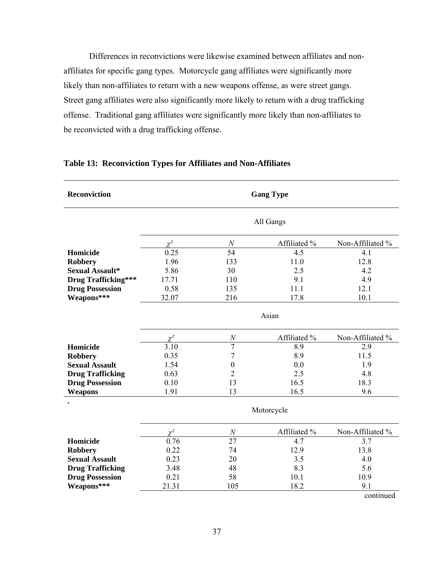Differences in reconvictions were likewise examined between affiliates and nonaffiliates for specific gang types. Motorcycle gang affiliates were significantly more likely than non-affiliates to return with a new weapons offense, as were street gangs. Street gang affiliates were also significantly more likely to return with a drug trafficking offense. Traditional gang affiliates were significantly more likely than non-affiliates to be reconvicted with a drug trafficking offense.

| <b>Reconviction</b>        | <b>Gang Type</b> |                  |              |                  |  |  |
|----------------------------|------------------|------------------|--------------|------------------|--|--|
|                            | All Gangs        |                  |              |                  |  |  |
|                            | $\chi^2$         | $\boldsymbol{N}$ | Affiliated % | Non-Affiliated % |  |  |
| Homicide                   | 0.25             | 54               | 4.5          | 4.1              |  |  |
| <b>Robbery</b>             | 1.96             | 133              | 11.0         | 12.8             |  |  |
| Sexual Assault*            | 5.86             | 30               | 2.5          | 4.2              |  |  |
| <b>Drug Trafficking***</b> | 17.71            | 110              | 9.1          | 4.9              |  |  |
| <b>Drug Possession</b>     | 0.58             | 135              | 11.1         | 12.1             |  |  |
| Weapons***                 | 32.07            | 216              | 17.8         | 10.1             |  |  |
|                            | Asian            |                  |              |                  |  |  |
|                            | $\chi^2$         | $\cal N$         | Affiliated % | Non-Affiliated % |  |  |
| Homicide                   | 3.10             | $\overline{7}$   | 8.9          | 2.9              |  |  |
| <b>Robbery</b>             | 0.35             | 7                | 8.9          | 11.5             |  |  |
| <b>Sexual Assault</b>      | 1.54             | $\boldsymbol{0}$ | 0.0          | 1.9              |  |  |
| <b>Drug Trafficking</b>    | 0.63             | $\overline{2}$   | 2.5          | 4.8              |  |  |
| <b>Drug Possession</b>     | 0.10             | 13               | 16.5         | 18.3             |  |  |
| Weapons                    | 1.91             | 13               | 16.5         | 9.6              |  |  |
|                            | Motorcycle       |                  |              |                  |  |  |
|                            | $\chi^2$         | $\cal N$         | Affiliated % | Non-Affiliated % |  |  |
| Homicide                   | 0.76             | 27               | 4.7          | 3.7              |  |  |
| <b>Robbery</b>             | 0.22             | 74               | 12.9         | 13.8             |  |  |
| <b>Sexual Assault</b>      | 0.23             | 20               | 3.5          | 4.0              |  |  |
| <b>Drug Trafficking</b>    | 3.48             | 48               | 8.3          | 5.6              |  |  |
| <b>Drug Possession</b>     | 0.21             | 58               | 10.1         | 10.9             |  |  |
| Weapons***                 | 21.31            | 105              | 18.2         | 9.1              |  |  |
|                            |                  |                  |              | continued        |  |  |

### **Table 13: Reconviction Types for Affiliates and Non-Affiliates**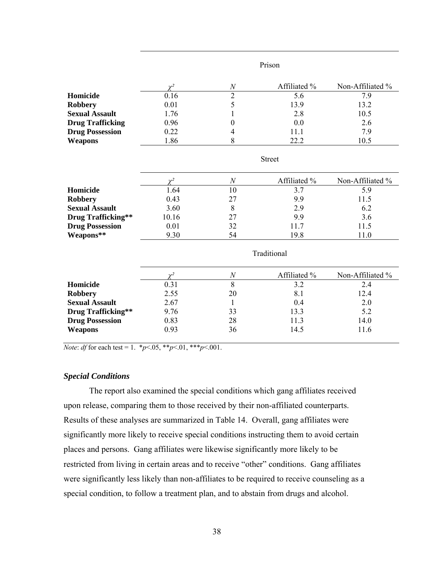|                           | Prison      |                  |               |                  |  |
|---------------------------|-------------|------------------|---------------|------------------|--|
|                           | $\chi^2$    | $\cal N$         | Affiliated %  | Non-Affiliated % |  |
| Homicide                  | 0.16        | $\overline{2}$   | 5.6           | 7.9              |  |
| <b>Robbery</b>            | 0.01        | 5                | 13.9          | 13.2             |  |
| <b>Sexual Assault</b>     | 1.76        | $\mathbf{1}$     | 2.8           | 10.5             |  |
| <b>Drug Trafficking</b>   | 0.96        | $\boldsymbol{0}$ | 0.0           | 2.6              |  |
| <b>Drug Possession</b>    | 0.22        | 4                | 11.1          | 7.9              |  |
| Weapons                   | 1.86        | 8                | 22.2          | 10.5             |  |
|                           |             |                  | <b>Street</b> |                  |  |
|                           | $\gamma^2$  | $\boldsymbol{N}$ | Affiliated %  | Non-Affiliated % |  |
| Homicide                  | 1.64        | 10               | 3.7           | 5.9              |  |
| <b>Robbery</b>            | 0.43        | 27               | 9.9           | 11.5             |  |
| <b>Sexual Assault</b>     | 3.60        | 8                | 2.9           | 6.2              |  |
| <b>Drug Trafficking**</b> | 10.16       | 27               | 9.9           | 3.6              |  |
| <b>Drug Possession</b>    | 0.01        | 32               | 11.7          | 11.5             |  |
| Weapons**                 | 9.30        | 54               | 19.8          | 11.0             |  |
|                           | Traditional |                  |               |                  |  |
|                           | $\chi^2$    | $\boldsymbol{N}$ | Affiliated %  | Non-Affiliated % |  |
| Homicide                  | 0.31        | $\overline{8}$   | 3.2           | 2.4              |  |
| <b>Robbery</b>            | 2.55        | 20               | 8.1           | 12.4             |  |
| <b>Sexual Assault</b>     | 2.67        | 1                | 0.4           | 2.0              |  |
| Drug Trafficking**        | 9.76        | 33               | 13.3          | 5.2              |  |
| <b>Drug Possession</b>    | 0.83        | 28               | 11.3          | 14.0             |  |
| Weapons                   | 0.93        | 36               | 14.5          | 11.6             |  |

*Note: df* for each test = 1.  $*_{p}$  < 05,  $*_{p}$  < 01,  $*_{p}$  < 001.

### *Special Conditions*

The report also examined the special conditions which gang affiliates received upon release, comparing them to those received by their non-affiliated counterparts. Results of these analyses are summarized in Table 14. Overall, gang affiliates were significantly more likely to receive special conditions instructing them to avoid certain places and persons. Gang affiliates were likewise significantly more likely to be restricted from living in certain areas and to receive "other" conditions. Gang affiliates were significantly less likely than non-affiliates to be required to receive counseling as a special condition, to follow a treatment plan, and to abstain from drugs and alcohol.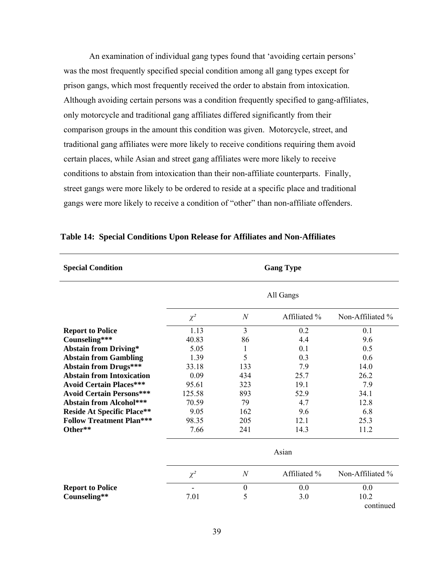An examination of individual gang types found that 'avoiding certain persons' was the most frequently specified special condition among all gang types except for prison gangs, which most frequently received the order to abstain from intoxication. Although avoiding certain persons was a condition frequently specified to gang-affiliates, only motorcycle and traditional gang affiliates differed significantly from their comparison groups in the amount this condition was given. Motorcycle, street, and traditional gang affiliates were more likely to receive conditions requiring them avoid certain places, while Asian and street gang affiliates were more likely to receive conditions to abstain from intoxication than their non-affiliate counterparts. Finally, street gangs were more likely to be ordered to reside at a specific place and traditional gangs were more likely to receive a condition of "other" than non-affiliate offenders.

| <b>Special Condition</b>          |           |                  | <b>Gang Type</b> |                  |
|-----------------------------------|-----------|------------------|------------------|------------------|
|                                   | All Gangs |                  |                  |                  |
|                                   | $\chi^2$  | $\mathcal N$     | Affiliated %     | Non-Affiliated % |
| <b>Report to Police</b>           | 1.13      | 3                | 0.2              | 0.1              |
| Counseling***                     | 40.83     | 86               | 4.4              | 9.6              |
| <b>Abstain from Driving*</b>      | 5.05      | 1                | 0.1              | 0.5              |
| <b>Abstain from Gambling</b>      | 1.39      | 5                | 0.3              | 0.6              |
| <b>Abstain from Drugs***</b>      | 33.18     | 133              | 7.9              | 14.0             |
| <b>Abstain from Intoxication</b>  | 0.09      | 434              | 25.7             | 26.2             |
| <b>Avoid Certain Places***</b>    | 95.61     | 323              | 19.1             | 7.9              |
| <b>Avoid Certain Persons***</b>   | 125.58    | 893              | 52.9             | 34.1             |
| <b>Abstain from Alcohol***</b>    | 70.59     | 79               | 4.7              | 12.8             |
| <b>Reside At Specific Place**</b> | 9.05      | 162              | 9.6              | 6.8              |
| <b>Follow Treatment Plan***</b>   | 98.35     | 205              | 12.1             | 25.3             |
| Other**                           | 7.66      | 241              | 14.3             | 11.2             |
|                                   | Asian     |                  |                  |                  |
|                                   | $\chi^2$  | $\boldsymbol{N}$ | Affiliated %     | Non-Affiliated % |
| <b>Report to Police</b>           |           | $\boldsymbol{0}$ | 0.0              | 0.0              |
| Counseling**                      | 7.01      | 5                | 3.0              | 10.2             |
|                                   |           |                  |                  | continued        |

#### **Table 14: Special Conditions Upon Release for Affiliates and Non-Affiliates**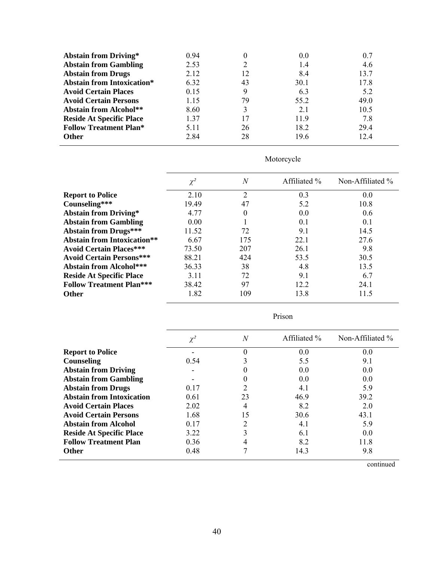| <b>Abstain from Driving*</b>      | 0.94 |    | 0.0  | 0.7  |
|-----------------------------------|------|----|------|------|
| <b>Abstain from Gambling</b>      | 2.53 |    | 1.4  | 4.6  |
| <b>Abstain from Drugs</b>         | 2.12 | 12 | 8.4  | 13.7 |
| <b>Abstain from Intoxication*</b> | 6.32 | 43 | 30.1 | 17.8 |
| <b>Avoid Certain Places</b>       | 0.15 | 9  | 6.3  | 5.2  |
| <b>Avoid Certain Persons</b>      | 1.15 | 79 | 55.2 | 49.0 |
| <b>Abstain from Alcohol**</b>     | 8.60 |    | 2.1  | 10.5 |
| <b>Reside At Specific Place</b>   | 1.37 | 17 | 11.9 | 7.8  |
| <b>Follow Treatment Plan*</b>     | 5.11 | 26 | 18.2 | 29.4 |
| <b>Other</b>                      | 2.84 | 28 | 19.6 | 124  |

# Motorcycle

|                                    | $\chi^2$ | N              | Affiliated % | Non-Affiliated % |
|------------------------------------|----------|----------------|--------------|------------------|
| <b>Report to Police</b>            | 2.10     | $\overline{2}$ | 0.3          | 0.0              |
| Counseling***                      | 19.49    | 47             | 5.2          | 10.8             |
| <b>Abstain from Driving*</b>       | 4.77     | 0              | 0.0          | 0.6              |
| <b>Abstain from Gambling</b>       | 0.00     |                | 0.1          | 0.1              |
| <b>Abstain from Drugs***</b>       | 11.52    | 72             | 9.1          | 14.5             |
| <b>Abstain from Intoxication**</b> | 6.67     | 175            | 22.1         | 27.6             |
| <b>Avoid Certain Places***</b>     | 73.50    | 207            | 26.1         | 9.8              |
| <b>Avoid Certain Persons***</b>    | 88.21    | 424            | 53.5         | 30.5             |
| <b>Abstain from Alcohol***</b>     | 36.33    | 38             | 4.8          | 13.5             |
| <b>Reside At Specific Place</b>    | 3.11     | 72             | 9.1          | 6.7              |
| <b>Follow Treatment Plan***</b>    | 38.42    | 97             | 12.2         | 24.1             |
| <b>Other</b>                       | 1.82     | 109            | 13.8         | 11.5             |
|                                    |          |                |              |                  |

|                                  | Prison   |                |              |                     |
|----------------------------------|----------|----------------|--------------|---------------------|
|                                  | $\chi^2$ | $\overline{N}$ | Affiliated % | Non-Affiliated $\%$ |
| <b>Report to Police</b>          |          | 0              | 0.0          | 0.0                 |
| Counseling                       | 0.54     | 3              | 5.5          | 9.1                 |
| <b>Abstain from Driving</b>      |          | 0              | 0.0          | 0.0                 |
| <b>Abstain from Gambling</b>     |          | 0              | 0.0          | 0.0                 |
| <b>Abstain from Drugs</b>        | 0.17     | 2              | 4.1          | 5.9                 |
| <b>Abstain from Intoxication</b> | 0.61     | 23             | 46.9         | 39.2                |
| <b>Avoid Certain Places</b>      | 2.02     | 4              | 8.2          | 2.0                 |
| <b>Avoid Certain Persons</b>     | 1.68     | 15             | 30.6         | 43.1                |
| <b>Abstain from Alcohol</b>      | 0.17     | $\overline{2}$ | 4.1          | 5.9                 |
| <b>Reside At Specific Place</b>  | 3.22     | 3              | 6.1          | 0.0                 |
| <b>Follow Treatment Plan</b>     | 0.36     | 4              | 8.2          | 11.8                |
| <b>Other</b>                     | 0.48     |                | 14.3         | 9.8                 |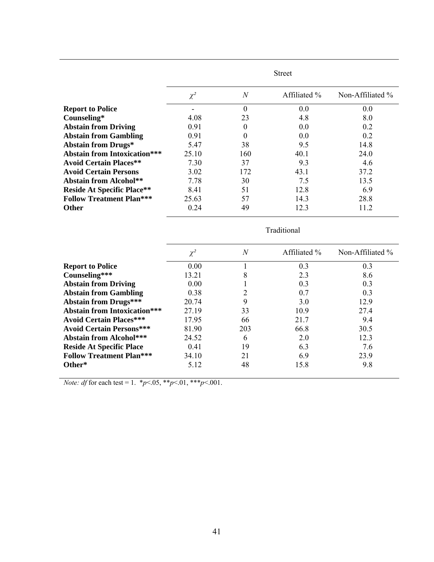|                                     | <b>Street</b> |                  |              |                     |
|-------------------------------------|---------------|------------------|--------------|---------------------|
|                                     | $\chi^2$      | $\overline{N}$   | Affiliated % | Non-Affiliated $\%$ |
| <b>Report to Police</b>             |               | $\Omega$         | 0.0          | 0.0                 |
| Counseling*                         | 4.08          | 23               | 4.8          | 8.0                 |
| <b>Abstain from Driving</b>         | 0.91          | $\boldsymbol{0}$ | 0.0          | 0.2                 |
| <b>Abstain from Gambling</b>        | 0.91          | $\theta$         | 0.0          | 0.2                 |
| <b>Abstain from Drugs*</b>          | 5.47          | 38               | 9.5          | 14.8                |
| <b>Abstain from Intoxication***</b> | 25.10         | 160              | 40.1         | 24.0                |
| <b>Avoid Certain Places**</b>       | 7.30          | 37               | 9.3          | 4.6                 |
| <b>Avoid Certain Persons</b>        | 3.02          | 172              | 43.1         | 37.2                |
| <b>Abstain from Alcohol**</b>       | 7.78          | 30               | 7.5          | 13.5                |
| <b>Reside At Specific Place**</b>   | 8.41          | 51               | 12.8         | 6.9                 |
| <b>Follow Treatment Plan***</b>     | 25.63         | 57               | 14.3         | 28.8                |
| <b>Other</b>                        | 0.24          | 49               | 12.3         | 11.2                |

|                                     | Traditional |                  |              |                     |
|-------------------------------------|-------------|------------------|--------------|---------------------|
|                                     | $\chi^2$    | $\boldsymbol{N}$ | Affiliated % | Non-Affiliated $\%$ |
| <b>Report to Police</b>             | 0.00        |                  | 0.3          | 0.3                 |
| Counseling***                       | 13.21       | 8                | 2.3          | 8.6                 |
| <b>Abstain from Driving</b>         | 0.00        |                  | 0.3          | 0.3                 |
| <b>Abstain from Gambling</b>        | 0.38        | 2                | 0.7          | 0.3                 |
| <b>Abstain from Drugs***</b>        | 20.74       | 9                | 3.0          | 12.9                |
| <b>Abstain from Intoxication***</b> | 27.19       | 33               | 10.9         | 27.4                |
| <b>Avoid Certain Places***</b>      | 17.95       | 66               | 21.7         | 9.4                 |
| <b>Avoid Certain Persons***</b>     | 81.90       | 203              | 66.8         | 30.5                |
| <b>Abstain from Alcohol***</b>      | 24.52       | 6                | 2.0          | 12.3                |
| <b>Reside At Specific Place</b>     | 0.41        | 19               | 6.3          | 7.6                 |
| <b>Follow Treatment Plan***</b>     | 34.10       | 21               | 6.9          | 23.9                |
| Other*                              | 5.12        | 48               | 15.8         | 9.8                 |

*Note: df* for each test = 1.  $*_{p}$  < 0.05,  $*_{p}$  < 0.01,  $*_{p}$  < 0.001.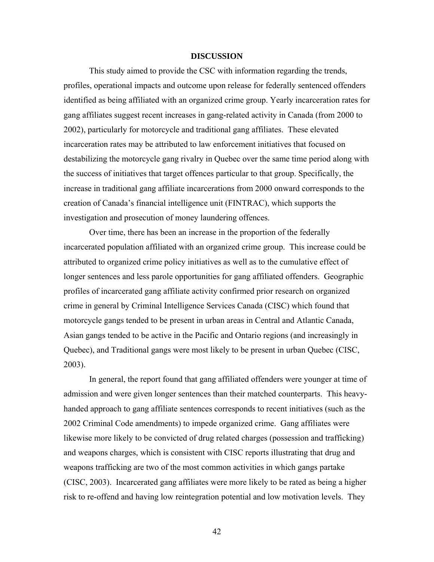#### **DISCUSSION**

This study aimed to provide the CSC with information regarding the trends, profiles, operational impacts and outcome upon release for federally sentenced offenders identified as being affiliated with an organized crime group. Yearly incarceration rates for gang affiliates suggest recent increases in gang-related activity in Canada (from 2000 to 2002), particularly for motorcycle and traditional gang affiliates. These elevated incarceration rates may be attributed to law enforcement initiatives that focused on destabilizing the motorcycle gang rivalry in Quebec over the same time period along with the success of initiatives that target offences particular to that group. Specifically, the increase in traditional gang affiliate incarcerations from 2000 onward corresponds to the creation of Canada's financial intelligence unit (FINTRAC), which supports the investigation and prosecution of money laundering offences.

 Over time, there has been an increase in the proportion of the federally incarcerated population affiliated with an organized crime group. This increase could be attributed to organized crime policy initiatives as well as to the cumulative effect of longer sentences and less parole opportunities for gang affiliated offenders. Geographic profiles of incarcerated gang affiliate activity confirmed prior research on organized crime in general by Criminal Intelligence Services Canada (CISC) which found that motorcycle gangs tended to be present in urban areas in Central and Atlantic Canada, Asian gangs tended to be active in the Pacific and Ontario regions (and increasingly in Quebec), and Traditional gangs were most likely to be present in urban Quebec (CISC, 2003).

In general, the report found that gang affiliated offenders were younger at time of admission and were given longer sentences than their matched counterparts. This heavyhanded approach to gang affiliate sentences corresponds to recent initiatives (such as the 2002 Criminal Code amendments) to impede organized crime. Gang affiliates were likewise more likely to be convicted of drug related charges (possession and trafficking) and weapons charges, which is consistent with CISC reports illustrating that drug and weapons trafficking are two of the most common activities in which gangs partake (CISC, 2003). Incarcerated gang affiliates were more likely to be rated as being a higher risk to re-offend and having low reintegration potential and low motivation levels. They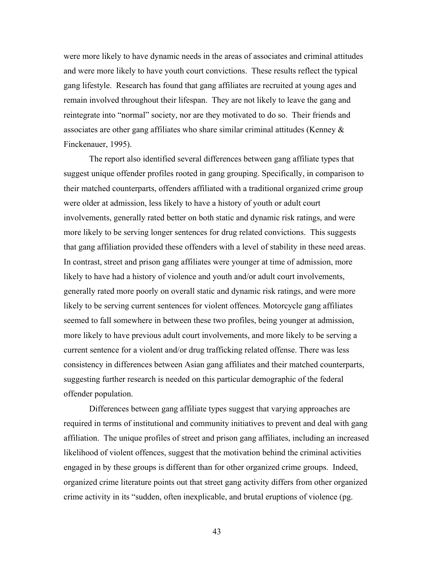were more likely to have dynamic needs in the areas of associates and criminal attitudes and were more likely to have youth court convictions. These results reflect the typical gang lifestyle. Research has found that gang affiliates are recruited at young ages and remain involved throughout their lifespan. They are not likely to leave the gang and reintegrate into "normal" society, nor are they motivated to do so. Their friends and associates are other gang affiliates who share similar criminal attitudes (Kenney  $\&$ Finckenauer, 1995).

The report also identified several differences between gang affiliate types that suggest unique offender profiles rooted in gang grouping. Specifically, in comparison to their matched counterparts, offenders affiliated with a traditional organized crime group were older at admission, less likely to have a history of youth or adult court involvements, generally rated better on both static and dynamic risk ratings, and were more likely to be serving longer sentences for drug related convictions. This suggests that gang affiliation provided these offenders with a level of stability in these need areas. In contrast, street and prison gang affiliates were younger at time of admission, more likely to have had a history of violence and youth and/or adult court involvements, generally rated more poorly on overall static and dynamic risk ratings, and were more likely to be serving current sentences for violent offences. Motorcycle gang affiliates seemed to fall somewhere in between these two profiles, being younger at admission, more likely to have previous adult court involvements, and more likely to be serving a current sentence for a violent and/or drug trafficking related offense. There was less consistency in differences between Asian gang affiliates and their matched counterparts, suggesting further research is needed on this particular demographic of the federal offender population.

Differences between gang affiliate types suggest that varying approaches are required in terms of institutional and community initiatives to prevent and deal with gang affiliation. The unique profiles of street and prison gang affiliates, including an increased likelihood of violent offences, suggest that the motivation behind the criminal activities engaged in by these groups is different than for other organized crime groups. Indeed, organized crime literature points out that street gang activity differs from other organized crime activity in its "sudden, often inexplicable, and brutal eruptions of violence (pg.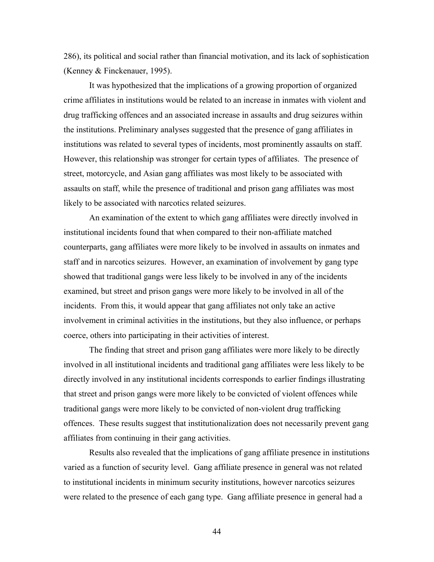286), its political and social rather than financial motivation, and its lack of sophistication (Kenney & Finckenauer, 1995).

It was hypothesized that the implications of a growing proportion of organized crime affiliates in institutions would be related to an increase in inmates with violent and drug trafficking offences and an associated increase in assaults and drug seizures within the institutions. Preliminary analyses suggested that the presence of gang affiliates in institutions was related to several types of incidents, most prominently assaults on staff. However, this relationship was stronger for certain types of affiliates. The presence of street, motorcycle, and Asian gang affiliates was most likely to be associated with assaults on staff, while the presence of traditional and prison gang affiliates was most likely to be associated with narcotics related seizures.

An examination of the extent to which gang affiliates were directly involved in institutional incidents found that when compared to their non-affiliate matched counterparts, gang affiliates were more likely to be involved in assaults on inmates and staff and in narcotics seizures. However, an examination of involvement by gang type showed that traditional gangs were less likely to be involved in any of the incidents examined, but street and prison gangs were more likely to be involved in all of the incidents. From this, it would appear that gang affiliates not only take an active involvement in criminal activities in the institutions, but they also influence, or perhaps coerce, others into participating in their activities of interest.

The finding that street and prison gang affiliates were more likely to be directly involved in all institutional incidents and traditional gang affiliates were less likely to be directly involved in any institutional incidents corresponds to earlier findings illustrating that street and prison gangs were more likely to be convicted of violent offences while traditional gangs were more likely to be convicted of non-violent drug trafficking offences. These results suggest that institutionalization does not necessarily prevent gang affiliates from continuing in their gang activities.

Results also revealed that the implications of gang affiliate presence in institutions varied as a function of security level. Gang affiliate presence in general was not related to institutional incidents in minimum security institutions, however narcotics seizures were related to the presence of each gang type. Gang affiliate presence in general had a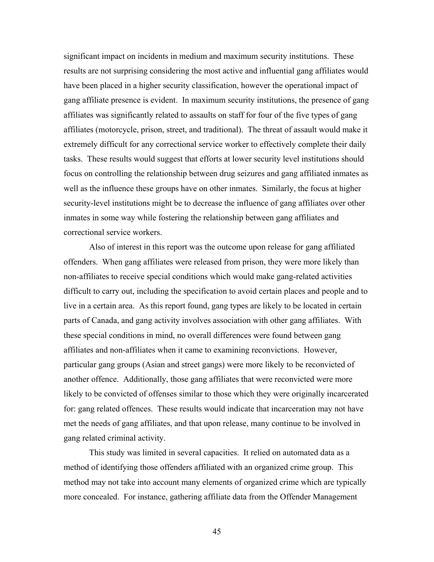significant impact on incidents in medium and maximum security institutions. These results are not surprising considering the most active and influential gang affiliates would have been placed in a higher security classification, however the operational impact of gang affiliate presence is evident. In maximum security institutions, the presence of gang affiliates was significantly related to assaults on staff for four of the five types of gang affiliates (motorcycle, prison, street, and traditional). The threat of assault would make it extremely difficult for any correctional service worker to effectively complete their daily tasks. These results would suggest that efforts at lower security level institutions should focus on controlling the relationship between drug seizures and gang affiliated inmates as well as the influence these groups have on other inmates. Similarly, the focus at higher security-level institutions might be to decrease the influence of gang affiliates over other inmates in some way while fostering the relationship between gang affiliates and correctional service workers.

Also of interest in this report was the outcome upon release for gang affiliated offenders. When gang affiliates were released from prison, they were more likely than non-affiliates to receive special conditions which would make gang-related activities difficult to carry out, including the specification to avoid certain places and people and to live in a certain area. As this report found, gang types are likely to be located in certain parts of Canada, and gang activity involves association with other gang affiliates. With these special conditions in mind, no overall differences were found between gang affiliates and non-affiliates when it came to examining reconvictions. However, particular gang groups (Asian and street gangs) were more likely to be reconvicted of another offence. Additionally, those gang affiliates that were reconvicted were more likely to be convicted of offenses similar to those which they were originally incarcerated for: gang related offences. These results would indicate that incarceration may not have met the needs of gang affiliates, and that upon release, many continue to be involved in gang related criminal activity.

This study was limited in several capacities. It relied on automated data as a method of identifying those offenders affiliated with an organized crime group. This method may not take into account many elements of organized crime which are typically more concealed. For instance, gathering affiliate data from the Offender Management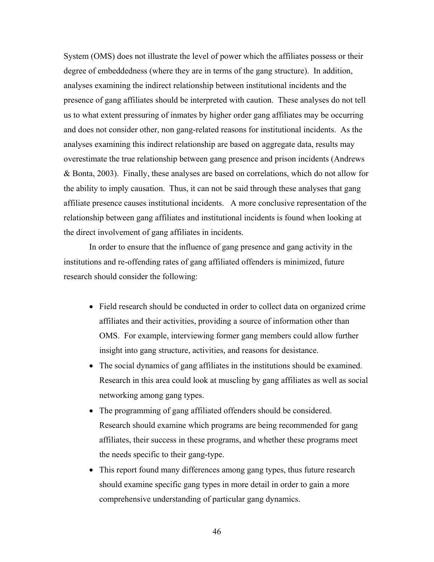System (OMS) does not illustrate the level of power which the affiliates possess or their degree of embeddedness (where they are in terms of the gang structure). In addition, analyses examining the indirect relationship between institutional incidents and the presence of gang affiliates should be interpreted with caution. These analyses do not tell us to what extent pressuring of inmates by higher order gang affiliates may be occurring and does not consider other, non gang-related reasons for institutional incidents. As the analyses examining this indirect relationship are based on aggregate data, results may overestimate the true relationship between gang presence and prison incidents (Andrews & Bonta, 2003). Finally, these analyses are based on correlations, which do not allow for the ability to imply causation. Thus, it can not be said through these analyses that gang affiliate presence causes institutional incidents. A more conclusive representation of the relationship between gang affiliates and institutional incidents is found when looking at the direct involvement of gang affiliates in incidents.

In order to ensure that the influence of gang presence and gang activity in the institutions and re-offending rates of gang affiliated offenders is minimized, future research should consider the following:

- Field research should be conducted in order to collect data on organized crime affiliates and their activities, providing a source of information other than OMS. For example, interviewing former gang members could allow further insight into gang structure, activities, and reasons for desistance.
- The social dynamics of gang affiliates in the institutions should be examined. Research in this area could look at muscling by gang affiliates as well as social networking among gang types.
- The programming of gang affiliated offenders should be considered. Research should examine which programs are being recommended for gang affiliates, their success in these programs, and whether these programs meet the needs specific to their gang-type.
- This report found many differences among gang types, thus future research should examine specific gang types in more detail in order to gain a more comprehensive understanding of particular gang dynamics.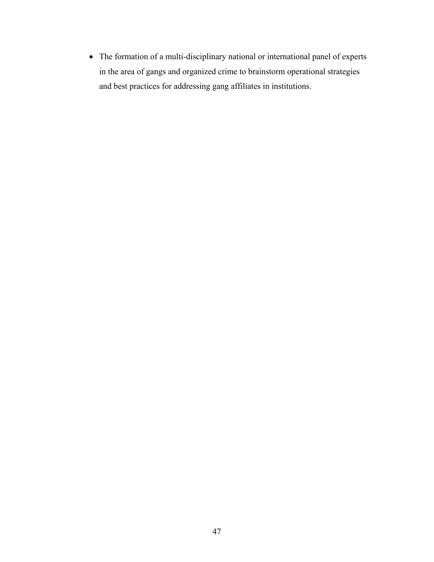• The formation of a multi-disciplinary national or international panel of experts in the area of gangs and organized crime to brainstorm operational strategies and best practices for addressing gang affiliates in institutions.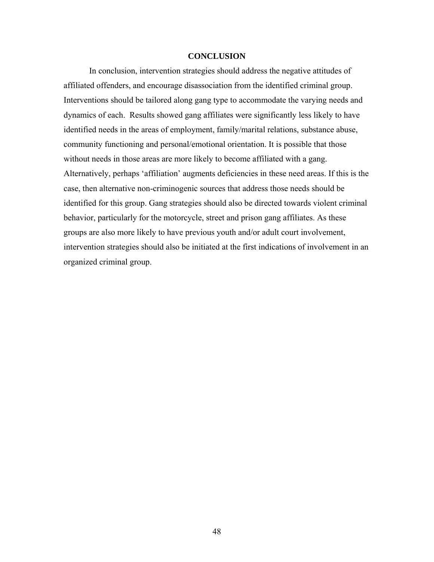#### **CONCLUSION**

In conclusion, intervention strategies should address the negative attitudes of affiliated offenders, and encourage disassociation from the identified criminal group. Interventions should be tailored along gang type to accommodate the varying needs and dynamics of each. Results showed gang affiliates were significantly less likely to have identified needs in the areas of employment, family/marital relations, substance abuse, community functioning and personal/emotional orientation. It is possible that those without needs in those areas are more likely to become affiliated with a gang. Alternatively, perhaps 'affiliation' augments deficiencies in these need areas. If this is the case, then alternative non-criminogenic sources that address those needs should be identified for this group. Gang strategies should also be directed towards violent criminal behavior, particularly for the motorcycle, street and prison gang affiliates. As these groups are also more likely to have previous youth and/or adult court involvement, intervention strategies should also be initiated at the first indications of involvement in an organized criminal group.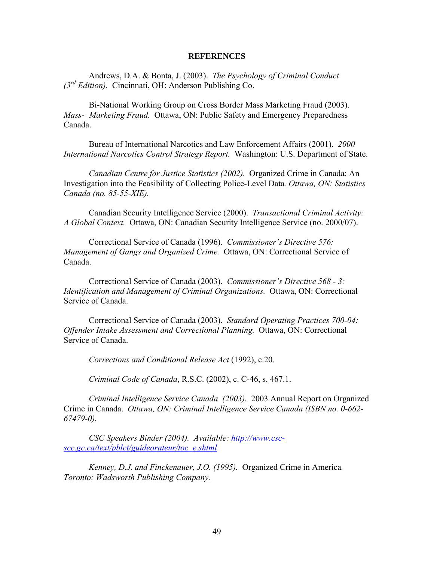#### **REFERENCES**

Andrews, D.A. & Bonta, J. (2003). *The Psychology of Criminal Conduct (3rd Edition).* Cincinnati, OH: Anderson Publishing Co.

Bi-National Working Group on Cross Border Mass Marketing Fraud (2003). *Mass- Marketing Fraud.* Ottawa, ON: Public Safety and Emergency Preparedness Canada.

Bureau of International Narcotics and Law Enforcement Affairs (2001). *2000 International Narcotics Control Strategy Report.* Washington: U.S. Department of State.

*Canadian Centre for Justice Statistics (2002).* Organized Crime in Canada: An Investigation into the Feasibility of Collecting Police-Level Data*. Ottawa, ON: Statistics Canada (no. 85-55-XIE).* 

Canadian Security Intelligence Service (2000). *Transactional Criminal Activity: A Global Context.* Ottawa, ON: Canadian Security Intelligence Service (no. 2000/07).

Correctional Service of Canada (1996). *Commissioner's Directive 576: Management of Gangs and Organized Crime.* Ottawa, ON: Correctional Service of Canada.

Correctional Service of Canada (2003). *Commissioner's Directive 568 - 3: Identification and Management of Criminal Organizations.* Ottawa, ON: Correctional Service of Canada.

Correctional Service of Canada (2003). *Standard Operating Practices 700-04: Offender Intake Assessment and Correctional Planning.* Ottawa, ON: Correctional Service of Canada.

*Corrections and Conditional Release Act* (1992), c.20.

*Criminal Code of Canada*, R.S.C. (2002), c. C-46, s. 467.1.

*Criminal Intelligence Service Canada (2003).* 2003 Annual Report on Organized Crime in Canada. *Ottawa, ON: Criminal Intelligence Service Canada (ISBN no. 0-662- 67479-0).* 

*CSC Speakers Binder (2004). Available: [http://www.csc](http://www.csc-scc.gc.ca/text/pblct/guideorateur/toc_e.shtml)[scc.gc.ca/text/pblct/guideorateur/toc\\_e.shtml](http://www.csc-scc.gc.ca/text/pblct/guideorateur/toc_e.shtml)*

*Kenney, D.J. and Finckenauer, J.O. (1995).* Organized Crime in America*. Toronto: Wadsworth Publishing Company.*